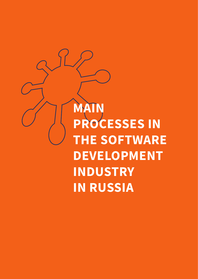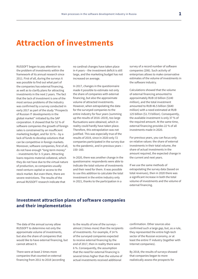# **Attraction of investments**

RUSSOFT began to pay attention to the problem of investments within the framework of its annual research since 2011. First of all, during the surveys it was possible to find out what part of the companies has external financing, as well as to clarify plans for attracting investments in the next 2 years. The fact that the lack of investment is one of the most serious problems of the industry was confirmed by a survey conducted in early 2017 as part of the study "Prospects of Russian IT developments in the global market" initiated by the SAP corporation. It showed that for 52 % of software companies the growth of foreign sales is constrained by an insufficient marketing budget, and for 33 % – by a lack of funds to develop solutions that can be competitive in foreign markets. Moreover, software companies, first of all, do not have enough "long-term money" – investments for 3–5 years. Attracting loans requires material collateral, which they do not have due to the virtual nature of production, so companies usually need venture capital or access to the stock market. But even there, there are severe restrictions. The results of the annual RUSSOFT research indicate that

no cardinal changes have taken place in 4 years – the investment deficit is still large, and the marketing budget has not increased on average.

In 2017, changes in the questionnaire made it possible to estimate not only the share of companies with external financing, but also the approximate volume of attracted investments. However, when extrapolating the data for the surveyed companies to the entire industry for four years (summing up the results of 2016–2019), too large fluctuations were obtained, which in reality could hardly have taken place. Therefore, this extrapolation was not justified. This was especially true of the results of 2019, since in 2020 only 72 companies participated in the survey due to the pandemic, and in previous years – 150–160.

In 2020, there was another change in the questionnaire: respondents were able to indicate the total volume of investments and their need for them. It was possible to use this addition to calculate the total investment in the entire industry only in 2021, thanks to the participation in a

survey of a record number of software companies (206). Such activity of enterprises allows to make conservative estimates of the volume of investments in the software industry.

Calculations showed that the volume of external financing amounted to approximately RUB 10 billion (\$140 million), and the total investment amounted to RUB 46.5 billion (\$640 million) with a need estimated at RUB 125 billion (\$1.73 billion). Consequently, the available investment is only 37 % of the required amount. At the same time, external financing provides 22 % of all investments made in 2020.

For previous years, you can focus only on relative values: the share of external investments in their total volume, the share of actual investments in the amount required, the expected change in the current and next years.

If we use the same methods of extrapolating the survey data (based on total revenues), then in 2020 there was a significant increase in both the total volume of investments and the volume of external financing.

### **Investment attraction plans of software companies and their implementation**

The data of the annual survey allow RUSSOFT to determine not only the approximate volume of investments, but also the share of companies that would like to have external financing, but cannot attract it.

There were at least 2 times more companies that counted on external financing from 2011 to 2018 (according

to the results of one of the surveys – almost 2 times more) than the recipients of investments. For example, if 14 % of the surveyed companies expected to receive external financing by the end of 2017, then in reality there were 6 %. Consequently, the assumption that the need for external financing is several times higher than the volume of actual investments received additional

confirmation. Other sources also confirmed such a large gap, but, as a rule, they represented the entire high-tech sector of the Russian economy, or at least the entire IT industry (together with Internet companies).

By 2018, the results of surveys showed that companies began to more realistically assess the prospects for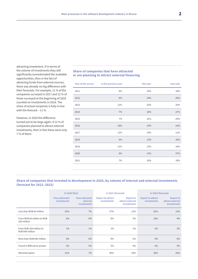attracting investment. If in terms of the volume of investments they still significantly overestimated the available opportunities, then in the fact of attracting funds from external sources, there was already no big difference with their forecasts. For example, 11 % of the companies surveyed in 2017 and 12 % of those surveyed at the beginning of 2018 counted on investments in 2018. The share of actual recipients is fully in line with the forecast – 11 %.

However, in 2020 the difference turned out to be large again: if 12 % of companies planned to attract external investments, then in fact there were only 7 % of them.

#### **Share of companies that have attracted or are planning to attract external financing**

|      | Year of the survey in the previous year | this year | next year |
|------|-----------------------------------------|-----------|-----------|
| 2011 | 9%                                      | 16%       | 18%       |
| 2012 | 9%                                      | 24%       | 26%       |
| 2013 | 12%                                     | 25%       | 25%       |
| 2014 | 7%                                      | 18%       | 27%       |
| 2015 | 7%                                      | 22%       | 24%       |
| 2016 | 10%                                     | 19%       | 23%       |
| 2017 | 11%                                     | 14%       | 11%       |
| 2018 | 6%                                      | 12%       | 10%       |
| 2019 | 11%                                     | 13%       | 16%       |
| 2020 | 6%                                      | 12%       | 27%       |
| 2021 | 7%                                      | 16%       | 18%       |
|      |                                         |           |           |

### **Share of companies that invested in development in 2020, by volume of internal and external investments (forecast for 2021–2022)**

|                                            | In 2020 (fact)                       |                                                  | In 2021 (forecast)                             |                                                            | In 2022 (forecast)                             |                                                            |
|--------------------------------------------|--------------------------------------|--------------------------------------------------|------------------------------------------------|------------------------------------------------------------|------------------------------------------------|------------------------------------------------------------|
|                                            | Have attracted<br><i>investments</i> | <b>Have attracted</b><br>external<br>investments | <b>Expect to attract</b><br><i>investments</i> | <b>Expect to</b><br>attract external<br><b>investments</b> | <b>Expect to attract</b><br><i>investments</i> | <b>Expect to</b><br>attract external<br><i>investments</i> |
| Less than RUB 64 million                   | 25%                                  | 7%                                               | 27%                                            | 12%                                                        | 25%                                            | 13%                                                        |
| From RUB 64 million to RUB<br>320 million  | 6%                                   | $0\%$                                            | 8%                                             | $3\%$                                                      | 10%                                            | 4%                                                         |
| From RUB 320 million to<br>RUB 640 million | $1\%$                                | $1\%$                                            | $1\%$                                          | $1\%$                                                      | 2%                                             | $2\%$                                                      |
| More than RUB 640 million                  | $0\%$                                | $0\%$                                            | $0\%$                                          | $0\%$                                                      | $0\%$                                          | $0\%$                                                      |
| Found it difficult to answer               | 5%                                   | 5%                                               | 5%                                             | 4%                                                         | 6%                                             | 5%                                                         |
| Attracted (plan)                           | 31%                                  | 7%                                               | 36%                                            | 16%                                                        | 36%                                            | 18%                                                        |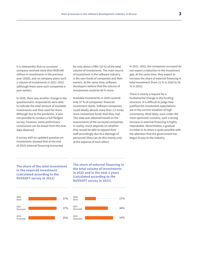It is noteworthy that no surveyed company received more than RUB 640 million in investments in the previous year (2020), and no company plans such a volume of investments in 2021–2022 (although there were such companies a year earlier).

In 2020, there was another change in the questionnaire: respondents were able to indicate the total amount of available investments and their need for them. Although due to the pandemic, it was not possible to conduct a full-fledged survey, however, some preliminary conclusions can be drawn from the new data obtained.

A survey with an updated question on investments showed that at the end of 2019, external financing accounted

for only about a fifth (18 %) of the total volume of investments. The main source of investment in the software industry is the own funds of companies and their owners. At the same time, software developers believe that the volume of investments could be 60 % more.

Available investments in 2020 covered only 37 % of companies' financial investment needs. Software companies could ideally absorb more than 2.5 times more investment funds than they had. This data was obtained based on the assessments of the surveyed companies. In reality, much depends on whether they would be able to expand their staff accordingly due to a shortage of personnel (they can do this mainly only at the expense of each other).

In 2021–2022, the companies surveyed do not expect a reduction in the investment gap. At the same time, they expect to increase the share of external financing in total investment (from 21 % in 2020 to 54 % in 2022).

There is clearly a request for a fundamental change in the funding structure. It is difficult to judge how justified the investment expectations are in the current situation of high uncertainty. Most likely, even under the most optimistic scenario, such a strong increase in external financing is highly improbable. Nevertheless, a gradual increase in its share is quite possible with the attention that the government has begun to pay to the industry.

**The share of the total investment in the required investment (calculated according to the RUSSOFT survey in 2021)**



**The share of external financing in the total volume of investments in 2020 and in the next 2 years (calculated according to the RUSSOFT survey in 2021)**

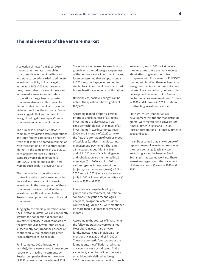### **The main events of the venture market**

A selection of news from 2017–2019 showed that the state, through its structures: development institutions and state corporations tried to stimulate investment activity in Russia again, as it was in 2008–2009. At the same time, the number of relevant messages in the media grew. Along with state corporations, large Russian private companies also more often began to demonstrate investment activity in the high-tech sector of the economy. Some news suggests that you can count on foreign funding (for example, Chinese companies and investment funds).

The purchase of domestic software companies by Russian state corporations and large foreign companies is another trend that should be noted in connection with the situation on the venture capital market. At the same time, in 2018–2019, very large enterprises by Russian standards were sold to foreigners: TRANSAS, Parallels and Luxoft. There were no such deals in previous years.

The purchase by corporations of a controlling stake in software companies may well ensure a sharp increase in investment in the development of these companies. However, not all of these investments will be directed to the Russian development centers of the sold companies.

Judging by the media publications about the IT sector in Russia, we can confidently say that the pandemic did not reduce investment activity in 2020 compared to the previous year. Several studies have subsequently confirmed the absence of contraction. Although there are other results, they seem less reliable.

For incomplete 2021 (in fact, for 8 months), there were almost 2 times more reports on attracting investments by Russian companies than for the whole of 2020, as well as for the whole of 2019.

Since there is no reason to associate such growth with the sudden great openness of the venture capital investment market, it can be assumed that an upturn began in 2021 and, perhaps, even something similar to an investment boom occurred, but such estimates require confirmation.

Nevertheless, positive changes can be noted. The question is how significant they are.

According to media reports, certain priorities and dynamics of attracting investments are also traced. If we consider technologies, then most of all investments in two incomplete years (2020 and 8 months of 2021) came to the field of automation of various types of activities (tourism, manufacturing, management, payments). There are 18 messages about this (5 in 2020 and 13 in 2021). Artificial intelligence and robotization are mentioned in 12 messages (5 in 2020 and 7 in 2021), various types of image recognition (objects, faces, emotions, texts) – 6 (2 in 2020 and 4 in 2021), office software – 4 (only in 2021), information security – 4 (2 each in 2020 and 2021).

Information storage technologies, games and entertainment, educational solutions, navigation technologies, analytics, navigation systems, video conferencing, VR and AR were mentioned no more than 2–3 times for a year and 8 months.

According to the sources of investments, the following statistics were obtained. Most often, investors are private funds, investor clubs, individuals – 24 mentions (9 in 2020 and 15 in 2021). These are domestic foundations or the foundations, the affiliation of which to any country was not indicated. At the same time, a number of investors were unambiguously defined as foreign: in 2020 there was only one mention of such an investor, and in 2021 – 8 at once. At the same time, there are many reports about attracting investments from companies with Russian roots. RUSSOFT has not yet classified them as Russian or foreign companies, according to its own criteria. They can be both, but, as a rule, development is carried out in Russia. Such companies were mentioned 5 times in 2020 and 4 times – in 2021 in relation to attracting investments abroad.

State structures (foundations or development institutions that distribute grants) were mentioned as investors 9 times (3 times in 2020 and 6 in 2021), Russian corporations – 4 times (2 times in 2020 and 2021).

It can be assumed that a new source of replenishment of investment resources, the stock exchange (basically, we are talking about the Moscow Stock Exchange), has started working. There were 6 messages about the placement of shares or bonds (3 each in 2020 and 2021).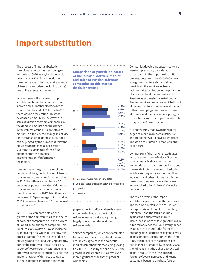## **Import substitution**

The process of import substitution in the software sector has been going on for the last 15–20 years, but it began to take shape in 2014 in connection with the American sanctions against a number of Russian enterprises (including banks) due to the events in Ukraine.

In recent years, the process of import substitution has either accelerated or slowed down. Another slowdown was recorded at the end of 2017, and in 2018 there was an acceleration. This was evidenced primarily by the growth in sales of Russian software companies in the domestic market and the change in the volume of the Russian software market. In addition, the change in activity for the transition to domestic solutions can be judged by the number of relevant messages in the media (see section Quantitative estimates of the effect obtained from the practical implementation of information technology).

If we compare the growth rates of the market and the growth of sales of Russian companies in the domestic market, then in 2016 the difference was huge – 30 percentage points (the sales of domestic companies on it grew so much faster than the market), in 2017 this difference decreased to 5 percentage points, and in 2018 it increased to about 10. It remained at this level in 2019.

In 2020, if we compare data on the growth of the domestic market and sales of domestic companies on it, the process of import substitution has stopped. This (or at least a slowdown) is also indicated by media reports, which reflect how this process is going (below is a list of these messages and their analysis). Apparently, during the pandemic, it was necessary to buy software urgently, without giving priority to domestic companies, since the implementation of domestic software, as a rule, requires more time and more

**Comparison of growth indicators of the Russian software market and sales of Russian software companies on this market (in dollar terms)**



Russian software market (IDC data)

■ Domestic sales of Russian software companies

- ... product
- **...** service

software on it.

preparation. In addition, there is every reason to believe that the Russian software market is already growing largely due to the sales of domestic

Service companies, which are dominated by revenues from custom development, are increasing sales in the domestic market faster than this market is growing (in 2017–2018 and by the end of 2020, the growth in sales within Russia was even more significant than that of product companies).

Companies developing custom software were not previously considered participants in the import substitution process, because since 2005–2008 their foreign competitors almost did not provide similar services in Russia. In fact, import substitution in the provision of software development services in Russia was successfully carried out by Russian service companies, which did not allow competitors from India and China (other developing countries with lower efficiency and a similar service price), or competitors from developed countries to conquer the Russian market.

It is noteworthy that IDC in its reports began to mention import substitution as a trend that would have a significant impact on the Russian IT market in the near future.

Comparison of the market growth rates and the growth rates of sales of Russian companies on it allows, with some assumptions, to make a supposition about the trend of software import substitution, which is subsequently verified by other indicators and other information. At the same time, the slowdown in the rate of import substitution in 2018–2020 looks quite logical.

The main drivers of the import substitution process were the sanctions imposed on a certain circle of Russian enterprises (a real threat of expanding this circle), and the fall in the ruble against the dollar, which sharply increased the price of foreign solutions in ruble terms. Since the ruble strengthened by about 15 % in 2017, the factor of exchange rate fluctuations began to work against import substitution. At the same time, the impact of the sanctions has not changed dramatically. In 2018–2020, the ruble against the dollar depreciated again, because of this, the price of foreign software increased and Russian customers began to purchase foreign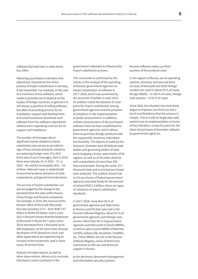software that had risen in ruble terms less often.

Obtaining quantitative indicators that objectively characterize the entire process of import substitution is not easy, if not impossible. For example, in the case of a transition to free software, which makes it possible not to depend on the loyalty of foreign countries, in general it is not always a question of selling software, but often of providing services for its installation, support and development. And small businesses download such software from free software repositories without even requesting a service for its support and installation.

The number of messages about significant events related to import substitution also serves as an indirect sign of how actively domestic solutions are replacing foreign ones. If in 2017 there were 9 such messages, then in 2018 there were already 19, in 2019 – 37, in 2020 – 46, and for incomplete 2021 – 53 of them. Relevant news is related both to launched projects and plans of state corporations, and government decisions.

The process of import substitution can also be judged by the change in the proceeds from the sales within Russia of key foreign and Russian companies. For example, in 2019, the revenue of the Russian office of Microsoft (Microsoft Rus) decreased by 13 % – from RUB 7.97 billion to RUB 6.93 billion, and in June 2021 it became known that the headcount of Microsoft in Russia for 7 years (since 2014) decreased from 1 thousand up to 300 employees. At the same time, Russian developers of OS (based on Linux) and office applications are experiencing an increase of tens of percent, and in some cases, of several times.

Analysis of media reports, as well as other observations, allows us to conclude that there is some confusion in the

government's attempts to influence the import substitution process.

This conclusion is confirmed by the results of the analysis of the spending of Russian government agencies on import substitution of software in 2017–2018, which was presented by the Accounts Chamber in early 2019. Its auditors noted the absence of clear plans for import substitution among government agencies and the presence of violations in the implementation of public procurement. In addition, unified characteristics of the purchased software have not been established for government agencies, which allows them to purchase foreign products with the supposedly necessary redundant functionality. The objects of audit by the Accounts Chamber were 80 federal state bodies and governing bodies of state extra-budgetary funds, state bodies of 85 regions, as well as of 36 urban districts with a population of more than 500 thousand people. During the audit, 33.7 thousand state and municipal purchases were analyzed. The auditors found that in 121 purchases of federal government agencies and state funds for the amount of almost RUB 3.3 billion, there are signs of violations of import substitution standards.

In 2017–2018, more than 96 % of government agencies and state funds in Russia used OS that were not in the Russian Software Registry. About 82 % of government agencies used foreign mail servers. More than 99 % of government agencies used Microsoft or Oracle DBMSs, as well as open source DBMSs of Red Hat, CentOS, Sybase SQL Anywhere, FreeBSD, etc. These DBMSs are not in the Russian Software Registry, some of them have restrictions on the use and technical support in Russia.

As for electronic document management and information security systems,

Russian software makes up three quarters of the products used.

In the regions of Russia, server operating systems, directory services and basic services of Microsoft and other foreign vendors are used in about 94 % of cases, foreign DBMSs – in 100 % of cases, foreign mail systems – in 91 % of cases.

Since 2020, the situation has most likely begun to improve, but there are still a lot of manifestations that the process is chaotic. There is still no single plan with control over its implementation in terms of key indicators, except for plans for the share of purchases of domestic software by government agencies.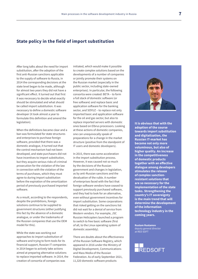### **State policy in the field of import substitution**

After long talks about the need for import substitution, after the adoption of the first anti-Russian sanctions applicable to the supply of software to Russia, in 2014 the corresponding decisions at the state level began to be made, although for almost two years they did not have a significant effect. It turned out that first it was necessary to decide what exactly should be stimulated and what should be called import substitution. It was necessary to define a domestic software developer (it took almost a year to formulate this definition and amend the legislation).

When the definitions became clear and a ban was formulated for state structures and enterprises to purchase foreign software, provided that there was a domestic analogue, it turned out that the control mechanism had not been developed, and state purchasers did not have incentives to import substitution, but they acquire serious risks of criminal prosecution for the violation of the law in connection with the violation of the terms of purchases, which they must agree to during import substitution before the expiration of the amortization period of previously purchased imported software.

As a result, according to the respondents, despite the prohibitions, foreign solutions continue to be supplied to government structures (either justifying this fact by the absence of a domestic analogue, or under the trademarks of the Russian companies that use the OEM model for this).

While the state was working out approaches to import substitution of software and trying to form tools for its financial support, Russian IT companies in 2014 began to actively take actions aimed at preparing alternative solutions to replace imported software. In 2014, the creation of consortia of companies was

initiated, which would make it possible to create complex solutions based on the developments of a number of companies or jointly promote their systems on the Russian market (especially in the public sector, including state-owned enterprises). In particular, the following consortia were created: BETA – to form a full stack of domestic software (or free software) and replace basic and application software for the banking sector, and SOYUZ – to replace not only imported basic and application software for the oil and gas sector, but also to replace imported servers with domestic ones based on Elbrus processors. Looking at these actions of domestic companies, one can unequivocally speak of preparations for a change in the market structure (positive from the standpoint of IT users and domestic developers).

In 2015, there was some acceleration in the import substitution process. However, it was caused not so much by the decisions of the Russian government and changes in legislation, as by anti-Russian sanctions and the devaluation of the ruble. A number of enterprises faced with the fact that foreign software vendors have ceased to support previously purchased software, and they had to look for an alternative, even without government incentives for import substitution. Some corporations that risked getting on the sanctions list did not wait for a denial of service from Western vendors. For example, JSC Russian Helicopters launched a program to switch to free basic software (first of all, to the Linux operating system of domestic assembly).

There are doubts about the effectiveness of the Russian Software Registry, which appeared in 2016 under the Ministry of Digital Development, Communications and Mass Media of the Russian Federation. As of early September 2021, 11,320 domestic software products



**It is obvious that with the adoption of the course towards import substitution and digitalization, the Russian IT-market has become not only more voluminous, but also of higher quality. An increase in the competitiveness of domestic products together with an effective dialogue among developers stimulates the release of complex sanctionresistant solutions that are so necessary for the implementation of the state tasks. Strengthening the country's IT sovereignty is the main trend that will determine the development of the information technology industry in the coming years.**

**Rustam Rustamov** deputy general director at RED SOFT

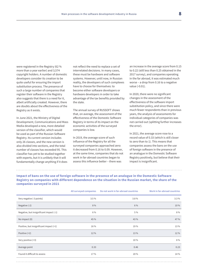were registered in the Registry (62 % more than a year earlier) and 3,574 copyright holders. A number of domestic developers consider its creation to be quite useful for ensuring the import substitution process. The presence of such a large number of companies that register their software in the Registry also suggests that there is a need for it, albeit artificially created. However, there are doubts about the effectiveness of the Registry as it exists.

In June 2021, the Ministry of Digital Development, Communications and Mass Media developed a new, more detailed version of the classifier, which would be used as part of the Russian Software Registry. Its current version includes only 26 classes, and the new version is also divided into sections, and the total number of classes has exceeded 95. This classifier has yet to be studied together with experts, but it is unlikely that it will fundamentally change anything if it does

not reflect the need to replace a set of interrelated decisions. In many cases, these must be hardware and software systems. However, until now, in Russian reality, the developers of such complexes have to choose for themselves: to become either software developers or hardware developers in order to take advantage of the tax benefits provided by the state.

The annual survey of RUSSOFT shows that, on average, the assessment of the effectiveness of the Domestic Software Registry in terms of its impact on the economic activities of the surveyed companies is low.

In 2019, the average score of such influence of the Registry for all the surveyed companies approached zero: it decreased from 0.16 to 0.09. However, at the same time, companies that do not work in far-abroad countries began to assess this influence better – there was

an increase in the average score from 0.15 to 0.22 (still less than 0.25 obtained in the 2017 survey), and companies operating in the far abroad, it was estimated much worse – a drop from 0.16 to a negative value (-0.01).

In 2020, there were no significant changes in the assessment of the effectiveness of the software import substitution policy, and since there were much fewer respondents than in previous years, the analysis of assessments for individual categories of companies was not carried out (splitting further increases the error).

In 2021, the average score rose to a record value of 0.33 (which is still closer to zero than to 1). This means that companies assess the bans on the use of foreign software in the presence of an analogue in the Domestic Software Registry positively, but believe that their impact is insignificant.

**Impact of bans on the use of foreign software in the presence of an analogue in the Domestic Software Registry on companies with different dependence on the situation in the Russian market, the share of the companies surveyed in 2021**

|                                         | All surveyed companies | Do not work in far-abroad countries | Work in far-abroad countries |
|-----------------------------------------|------------------------|-------------------------------------|------------------------------|
| Very negative (-3 points)               | 3.5%                   | 3.8%                                | 3.3%                         |
| Negative (-2)                           | 8 %                    | 6 %                                 | 10 %                         |
| Negative, but insignificant impact (-1) | 6 %                    | 5 %                                 | 8 %                          |
| No impact (0)                           | 45 %                   | 43 %                                | 47 %                         |
| Positive, but insignificant impact (+1) | 16 %                   | 19 %                                | 13 %                         |
| Positive (+2)                           | 12 %                   | 13 %                                | 12 %                         |
| Very positive (+3)                      |                        | 10 %                                | 8 %                          |
| Average point                           | 0.33                   | 0.46                                | 0.23                         |
| Found it difficult to assess            | 17%                    | 20 %                                | 14 %                         |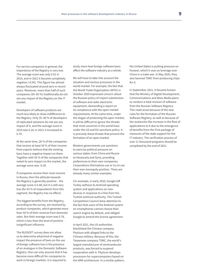For service companies in general, the importance of the Registry is very low. The average score was only 0.01 in 2019, and in 2021 it became completely negative (-0.04). This figure has almost always fluctuated around zero in recent years. Moreover, more than half of such companies (50–60 %) traditionally do not see any impact of the Registry on the IT market.

Developers of software products are much less likely to show indifference to the Registry. Only 35–40 % of developers of replicated solutions do not see any impact of it, and the average score in 2019 was 0.18, in 2021 it increased to 0.70.

At the same time, 28 % of the companies that receive at least 50 % of their income from exports believe that the existing bans have a negative impact on them. Together with 56 % of the companies that noted its zero impact on the market, the average score was -0.28.

If companies receive their main income in Russia, then the attitude towards the Registry is generally positive – the average score is 0.48, but it is still very low (for 43 % of respondents from this segment, the Registry has no effect).

The biggest benefits from the Registry, according to the survey, are received by product companies, which generate more than 50 % of their revenue from domestic sales. But their average score was 0.78, which is less than the level of positive insignificant influence.

The RUSSOFT survey does not allow us to determine what kind of negative impact the presence of bans on the use of foreign software has in the presence of an analogue in the Domestic Software Registry. One can only assume that it has become more difficult for companies to work in foreign markets. It is required to

study more how foreign software bans affect the software industry as a whole.

We will have to take into account the situation and various processes in the world market. For example, the fact that the World Trade Organization (WTO) in October 2020 expressed concern about the Russian policy of import substitution of software and radio electronic equipment, demanding a report on its compliance with the open market requirements. At the same time, under the slogan of protecting the open market, it will be difficult to ignore the threats that most countries in the world have under the US and EU sanctions policy. It is precisely these threats that prevent the formation of an open market.

Western governments use sanctions to exercise political pressure on various states: from China and Russia to Venezuela and Syria, providing preferences to their own companies. Corporations themselves use or try to use their own monopoly position. There are already many similar examples.

For example, in early 2020, Google left Turkey without its Android operating system and applications on new devices in response to a fine from the Turkish antitrust authority. The Turkish Competition Council drew attention to the fact that users of the Android system on smartphones cannot choose their search engine by default, and obliged Google to amend the license agreement.

In April 2021, the US authorities blacklisted the Chinese company Phytium with alleged links to the Chinese military. Because of this, the Taiwanese company TSMC, the world's largest manufacturer of semiconductor products, was forced to suspend cooperation with it. Phytium develops processors for supercomputers based on the ARM architecture. In a similar pattern, the United States is putting pressure on Huawei, which it uses as leverage over China in a trade war. In May 2020, they also banned TSMC from producing chips for it.

In September 2021, it became known that the Ministry of Digital Development, Communications and Mass Media plans to conduct a total revision of software from the Russian Software Registry. This need arose because of the new rules for the formation of the Russian Software Registry, as well as because of the avalanche-like increase in the flow of applications to it due to the emergence of benefits from the First package of measures of the state support for the IT industry. The verification process of over 11 thousand programs should be completed by the end of 2021.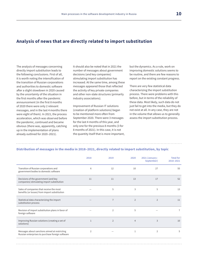### **Analysis of news that are directly related to import substitution**

The analysis of messages concerning directly import substitution leads to the following conclusions. First of all, it is worth noting the intensification of the transition of Russian corporations and authorities to domestic software after a slight slowdown in 2020 caused by the uncertainty of the situation in the first months after the pandemic announcement (in the first 8 months of 2020 there were only 2 relevant messages, and in the last 4 months there were eight of them). In 2021, the process acceleration, which was observed before the pandemic, continued and became obvious (there was, apparently, catching up in the implementation of plans already outlined for 2020–2021).

It should also be noted that in 2021 the number of messages about government decisions (and key companies) stimulating import substitution has increased. At the same time, among these messages appeared those that reflected the activity of key private companies and other non-state structures (primarily industry associations).

Improvement of Russian IT solutions (creation of platform solutions) began to be mentioned more often from September 2020. There were 3 messages for the last 4 months of this year, and only one for the previous 8 months (3 for 8 months of 2021). In this case, it is not the quantity itself that is more important, but the dynamics. As a rule, work on improving domestic solutions seems to be routine, and there are few reasons to report on the existing constant progress.

There are very few statistical data characterizing the import substitution process. There were problems with this before, but in terms of the reliability of these data. Most likely, such data do not just fail to get into the media, but they do not exist at all. In any case, they are not in the volume that allows us to generally assess the import substitution process.

### **Distribution of messages in the media in 2018–2021, directly related to import substitution, by topic**

|                                                                                                   | 2018           | 2019           | 2020           | 2021 (January-<br>September) | <b>Total for</b><br>2018-2021 |
|---------------------------------------------------------------------------------------------------|----------------|----------------|----------------|------------------------------|-------------------------------|
| Transition of Russian corporations and<br>government bodies to domestic software                  | 6              | 12             | 10             | 27                           | 55                            |
| Decisions of the government (and key<br>companies) stimulating import substitution                | 11             | 11             | 13             | 17                           | 52                            |
| Sales of companies that receive the most<br>benefits (or losses) from import substitution         |                | 5              | 3              | 5                            | 13                            |
| Statistical data characterizing the import<br>substitution process                                |                | $\overline{7}$ | $\overline{2}$ | $\overline{2}$               | 11                            |
| Revision of import substitution plans in favor of<br>foreign software                             |                | $\overline{2}$ | 5              |                              | $\overline{7}$                |
| Improving Russian solutions (creating a set of<br>solutions)                                      | $\mathbf{1}$   | $\overline{2}$ | $\overline{4}$ | 3                            | 10                            |
| Messages about sanctions aimed at restricting<br>Russian enterprises to purchase foreign software | $\overline{2}$ |                | $\mathbf{1}$   | $\overline{2}$               | 5                             |
|                                                                                                   |                |                |                |                              |                               |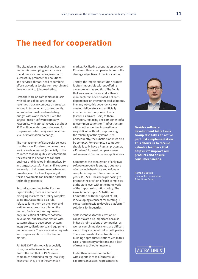# **The need for cooperation**

The situation in the global and Russian markets is developing in such a way that domestic companies, in order to successfully promote their solutions and services abroad, need to combine efforts at various levels: from coordinated development to joint marketing.

First, there are no companies in Russia with billions of dollars in annual revenues that can compete on an equal footing in turnover and, consequently, in production costs and marketing budget with world leaders. Even the largest Russian software company Kaspersky, with annual revenue of about \$700 million, understands the need for cooperation, which may even be at the level of information exchange.

The management of Kaspersky believes that the more Russian companies there are in a certain market (especially in the countries that are quite exotic for them), the easier it will be for it to conduct business and develop in this market. By and large, successful Russian IT exporters are ready to help newcomers whenever possible, even for free. Especially if these newcomers can become potential technology partners.

Secondly, according to the Russian Export Center, there is a demand in emerging markets for turnkey complex solutions. Customers, as a rule, refuse to form them on their own and wait for an appropriate offer on the market. Such solutions require not only unification of different software developers, but also cooperation with custom software developers, system integrators, distributors, and equipment manufacturers. There are similar requests for complex solutions in the Russian market.

For RUSSOFT, this topic is especially close, since the Association arose due to the fact that in 1999 several companies decided to merge, realizing how small they are in the American

market. Facilitating cooperation between Russian software companies is one of the strategic objectives of the Association.

Thirdly, the import substitution process is often impossible without offering a comprehensive solution. The fact is that Western hardware and software manufacturers have created a client's dependence on interconnected solutions. In many ways, this dependence was created deliberately and artificially in order to bind corporate clients (as well as private users) to them. Therefore, replacing one component of a telecommunications or IT infrastructure with another is either impossible or very difficult without compromising the reliability of the systems used. Consequently, the substitution must also be complex. For example, a computer should ideally have a Russian processor, a Russian OS (based on open source software) and Russian office applications.

Sometimes the conjugation of only two software products is enough, but more often a single hardware and software complex is required. For a number of years, RUSSOFT has been proposing to promote the creation of such complexes at the state level within the framework of the import substitution policy. The Association's Import Substitution Committee, with the support of IIDF, is developing a concept for creating IT consortia in Russia to develop platform IT solutions for industries.

State incentives for the creation of consortia are also important because in Russia joint actions of companies, as well as combining decisions, are difficult, even if they are beneficial to both parties. There are no established traditions of building appropriate relations yet. In this case, unnecessary ambitions and a lack of trust in each other interfere.

In-depth interviews conducted with experts (heads of successful IT exporters, investors, representatives



#### **Besides software development Astra Linux Group also takes an active part in its implementation. This allows us to receive valuable feedback that helps us to improve our products and ensure consumer's needs.**

**Roman Mylitsin** Director for Innovations, Astra Linux Group

# **ASTRA LINUX**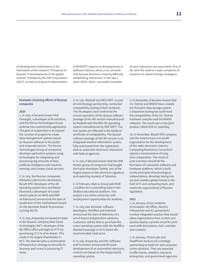of development institutions) in the framework of the research "Prospects of Russian IT developments in the global market" initiated by the SAP Corporation (2017), as well as long-term observations

of RUSSOFT experts on developments in software industry allow us to conclude that Russian business is having difficulty establishing interaction. In the last 2 years (2020–2021), successful examples

of such interaction are associated, first of all, with the need to create complexes of solutions to replace foreign analogues.

#### **Examples of joining efforts of Russian companies**

#### **2020**

1. In July, it became known that Foresight, a developer of BI solutions, and the Parma Technologies Group entered into a partnership agreement. The goal of cooperation is to expand the number of projects to create data management systems based on Russian software in the public and corporate sectors. The Parma Technologies Group of companies develops application systems using technologies for integrating and processing big amounts of data, artificial intelligence and machine learning, and creates cloud services.

2. In July, the Russian companies Edelweiss (electronics developer), Basalt SPO (developer of the Alt operating system line) and Baikal Electronics (developer of crystalbased systems on MIPS and ARM architectures) announced the start of production of the motherboard based on the domestic Baikal-M processor running Alt OS.

3. In July, Kaspersky increased its stake in the Russian company New Cloud Technologies (NCT, developer of the My Office office package) to 47 % by purchasing 17.5 % of its shares. This made it the largest shareholder in NCT. The deal became a continuation of Kaspersky's strategy to diversify its business and invest in promising IT areas.

4. In July, Medsoft and RED SOFT, as part of a technology partnership, conducted compatibility testing of their products. The developers have confirmed the correct operation of the Quasar software package of the 4th version manufactured by Medsoft with the RED OS operating system manufactured by RED SOFT. The test results are reflected in the bilateral certificate of compatibility. The Quasar software package of the 4th version is an integrated medical information system, fully automated from the registration desk to automatic electronic interaction with federal agencies.

5. In July, it became known that the SKB Kontur group of companies had bought the Kazan developer TaxNet, one of the largest players in the electronic signature and reporting markets of Tatarstan.

6. In February, Mail.ru Group paid RUB 1.6 billion for a controlling stake in the Skillbox educational platform. This project is an online university with employment opportunities for students.

7. In July, two domestic software developers: MyOffice and Instream announced the start of deliveries of a set of import-independent solutions. Customers will be able to purchase the Lotus operating system with the MyOffice Standard package at 20 % below the recommended retail price.

8. In July, Kaspersky and AVL Software and Functions announced the joint development of an automotive electronic control unit based on the KasperskyOS operating system.

9. In December, it became known that ICL Techno and RAIDIX have created the first joint data storage system. Component testing has confirmed the compatibility of the ICL Techno hardware complex and the RAIDIX software. The result was a new joint product called SDS ICL teamRay.

10. In December, Basalt SPO company and the Autonomous non-profit organization for the development of the radio-electronic industry Computing Machinery Consortium signed a memorandum of longterm cooperation. The result of joint activities should be the formation of a domestic software and hardware platform, which is built on the principles of technological independence, develops taking into account modern global trends in the field of IT and computing tools, and meets the requirements of Russian legislation.

#### **2021**

1. In January, three residents of Innopolis: My Office, Akronis Infozaschita and ICL presented a turnkey integrated solution that would allow organizations from scratch and quickly deploy a private cloud for joint work with documents, mail, calendar and contacts.

2. In January, VisionLabs and HeadPoint announced a strategic partnership to build IoT and computer vision solutions. They are expected to offer banks, retailers, industrial enterprises, and government agencies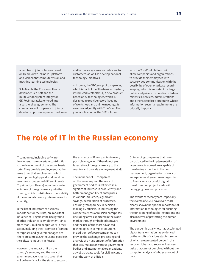a number of joint solutions based on HeadPoint's InOne IoT platform and VisionLabs' computer vision and machine learning technologies.

3. In March, the Russian software developer Red Soft and the multi-vendor system integrator GK RosIntegratsiya entered into a partnership agreement. The companies will cooperate to jointly develop import-independent software and hardware systems for public sector customers, as well as develop national technology initiatives.

4. In June, the STC group of companies, which is part of the Sberbank ecosystem, introduced Nestor.BRIEF, a new product based on AI technologies, which is designed to provide record-keeping of workshops and online meetings. It was created jointly with TrueConf. The joint application of the STC solution

with the TrueConf platform will allow companies and organizations to provide their employees with secure video communication with the possibility of open or private recordkeeping, which is important for large public and private corporations, federal ministries, services, administrations and other specialized structures where information security requirements are critically important.

## **The role of IT in the Russian economy**

IT companies, including software developers, make a certain contribution to the development of the entire Russian state. They provide employment (at the same time, that employment, which presupposes highly paid work) and tax revenues to budgets of different levels. IT (primarily software) exporters create an inflow of foreign currency into the country, which contributes to the stability of the national currency rate (reduces its volatility).

In the list of indicators of business importance for the state, an important influence of IT against the background of other industries is employment, since more than 1 million people work in the IT sector, including the IT services of various enterprises and government agencies (there are almost 200 thousand people in the software industry in Russia).

However, the impact of IT on the country's economy and the work of government agencies is so great that it will be beneficial for the state to support the existence of IT companies in every possible way, even if they do not pay taxes, attract foreign currency to the country and provide employment at all.

The influence of IT companies on the economy and the work of government bodies is reflected in a significant increase in productivity and better manageability of enterprises in various industries, significant savings, acceleration of processes, ensuring transparency in decisionmaking by officials, in increasing the competitiveness of Russian enterprises (including arms exporters) in the world market through embedded software and the use of the most advanced technologies in complex solutions. In addition, software companies can provide the exchange, processing and analysis of a huge amount of information that accumulates in various government bodies and international organizations, as well as create tools for civilian control over the work of officials.

Outsourcing companies that have participated in the implementation of large projects abroad are capable of transferring expertise in the field of management, organization of work of enterprises and government agencies to Russia. Any successful digital transformation project starts with debugging business processes.

The events of recent years (especially the events of 2020) have even more clearly shown the special importance of information technologies for ensuring the functioning of public institutions and also in terms of protecting the human environment.

The pandemic as a whole has accelerated digital transformation (as evidenced by the results of various studies, some of which are presented below in this section). It has also set or will set new tasks that cannot be solved without the computer analysis of a huge amount of data.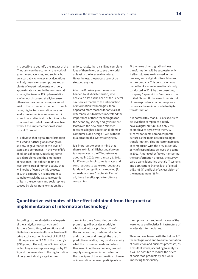It is possible to quantify the impact of the IT industry on the economy, the work of government agencies, and society, but only partially. Any relevant calculations will rely heavily on assumptions and a plenty of expert judgments with very approximate values. In the commercial sphere, the issue of IT implementation is often not discussed at all, because otherwise the company simply cannot exist in the current environment. In such cases, digital transformation may not lead to an immediate improvement in some financial indicators, but it must be compared with what it would have been without the implementation of some critical IT project.

It is obvious that digital transformation will lead to further global changes in society, in governance at the level of states and companies, in the way of life of billions of people, in solving some social problems and the emergence of new ones. It is difficult to find at least some area of human activity that will not be affected by this process. In such a situation, it is important to somehow track the existing tectonic shifts in the economy and social sphere caused by digital transformation. But,

unfortunately, there is still no complete idea of them in order to see the world at least in the foreseeable future. Nevertheless, the process cannot be stopped anyway.

After the Russian government was headed by Mikhail Mishustin, who achieved a lot as the head of the Federal Tax Service thanks to the introduction of information technologies, there appeared more reasons for officials at different levels to better understand the importance of these technologies for the economy, society and government. Moreover, the new prime minister received a higher education diploma in computer-aided design (CAD) with the qualification of a systems engineer.

It is important to bear in mind that thanks to Mikhail Mishustin, a law on tax maneuver in the IT industry was adopted in 2020: from January 1, 2021, for IT companies, income tax rates and contributions to state extra-budgetary funds will be significantly reduced (for more details, see Chapter 4). First of all, these benefits apply to software companies.

At the same time, digital business transformation will be successful only if all employees are involved in the process, and a digital culture takes root in the company. This conclusion was made thanks to an international study conducted in 2019 by the consulting company Capgemini in Europe and the United States. At the same time, six out of ten respondents named corporate culture as the main obstacle to digital transformation.

It is noteworthy that 40 % of executives believe their companies already have a digital culture, but only 27 % of employees agree with them. 62 % of respondents named corporate culture as the main obstacle to digital transformation. This indicator increased in comparison with the previous study – 55 % of respondents believed the same in 2011. Among other factors hampering the transformation process, the survey participants identified archaic IT systems and applications (48 %), lack of digital skills (43 %) and lack of a clear vision of the management (38 %).

## **Quantitative estimates of the effect obtained from the practical implementation of information technology**

According to the calculations of experts of the analytical company J'son & Partners Consulting, IoT solutions and digitalization in agriculture in Russia will bring a total economic effect of RUB 4.8 trillion per year or 5.6 % of the country's GDP growth. The volume of information technology consumption can grow by 22 %, and moreover due to the digitalization of only one industry – agriculture.

J'son & Partners Consulting considers promising a direct sales model, in which agricultural producers "see" the end consumer, its demand volume and structure, and through the use of predictive analytics, they produce exactly what the consumer needs and when they need it. At the same time, product supply management is carried out on the principles of the automatic exchange of information between participants in

the supply chain and minimal use of the warehouse and logistics infrastructure of wholesale intermediaries.

This can be achieved with the help of IoT technologies and end-to-end automation of production and business processes, as a result of which, according to analysts, it will be possible to reduce the prices of basic food products by half while improving their quality.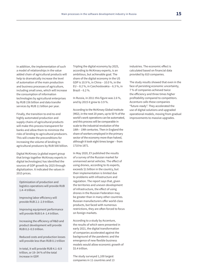In addition, the implementation of such a model of relationships in the value added chain of agricultural products will help to dramatically increase the level of automation of the main production and business processes of agriculture, including small ones, which will increase the consumption of information technologies by agricultural enterprises by RUB 156 billion and data transfer services by RUB 11 billion per year.

Finally, the transition to end-to-end highly automated production and supply chains of agricultural products will make this process transparent for banks and allow them to minimize the risks of lending to agricultural producers. This will create the preconditions for increasing the volume of lending to agricultural producers by RUB 500 billion.

Digital McKinsey (a global expert group that brings together McKinsey experts in digital technologies) has identified the sources of GDP growth by 2025 through digitalization. It indicated the values in 2015 prices.

Optimization of production and logistics operations will provide RUB 1.4–4 trillion.

Improving labor efficiency will provide RUB 2.1–2.9 trillion.

Improving equipment performance will provide RUB 0.4–1.4 trillion.

Increasing the efficiency of R&D and product development will provide RUB 0.2–0.5 trillion.

Reduced costs and production losses will provide less than RUB 0.1 trillion

In total, it will provide RUB 4.1–8.9 trillion, or 19–34 % of the total increase in GDP.

Tripling the digital economy by 2025, according to McKinsey experts, is an ambitious, but achievable goal. The share of the digital economy in the US GDP is 10.9 %, in China – 10.0 %, in the EU – 8.2 %, in Czechoslovakia – 6.3 %, in Brazil – 6.2 %.

In Russia, in 2011 this figure was 2.6 %, and by 2015 it grew to 3.9 %.

According to the McKinsey Global Institute (MGI), in the next 20 years, up to 50 % of the world's work operations can be automated, and this process will be comparable in scale to the industrial revolution of the 18th – 19th centuries. Then in England the share of workers employed in the primary sector of the economy more than halved, although it took eight times longer – from 1710 to 1871.

In May 2020, EY published the results of a survey of the Russian market for unmanned aerial vehicles. The effect of using drones, according to its experts, exceeds \$1 billion in the country, but their implementation is limited due to problems with infrastructure and regulation. The report says that, given the territories and uneven development of infrastructure, the effect of using drones in the Russian Federation may be greater than in many other countries. Russian manufacturers offer world-class products, but faced with numerous restrictions, they are often forced to focus on foreign markets.

According to a study by Accenture, the results of which were presented in early 2021, the digital transformation of companies accelerated against the background of the pandemic and the emergence of new flexible business models would allow economic growth of \$5.4 trillion.

The study surveyed 1,100 largest companies in 11 countries and 13 industries. The economic effect is calculated based on financial data provided by 810 companies.

The study results showed that even in the face of persisting economic uncertainty, 7 % of companies achieved twice the efficiency and three times higher profitability compared to competitors. Accenture calls these companies "future-ready". They accelerated the use of digital solutions and upgraded operational models, moving from gradual improvements to massive upgrades.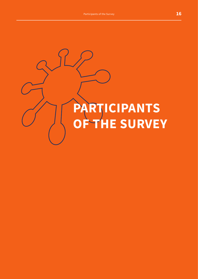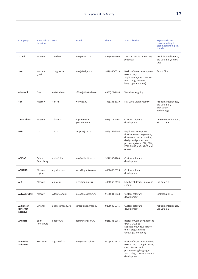| Company                             | <b>Head office</b><br>location | Web              | E-mail                        | Phone              | <b>Specialization</b>                                                                                                                                                      | <b>Expertise in areas</b><br>corresponding to<br>global technological<br>trends |
|-------------------------------------|--------------------------------|------------------|-------------------------------|--------------------|----------------------------------------------------------------------------------------------------------------------------------------------------------------------------|---------------------------------------------------------------------------------|
| 3iTech                              | Moscow                         | 3itech.ru        | info@3itech.ru                | (495) 645-4306     | Text and media processing<br>products                                                                                                                                      | Artificial Intelligence,<br>Big Data & BI, Smart<br>City                        |
| 3kex                                | Krasno-<br>yarsk               | 3ksigma.ru       | info@3ksigma.ru               | (902) 945-6719     | Basic software development<br>(DBCS, OS, o ce<br>applications, virtualization<br>tools, programming<br>languages and tools)                                                | Smart City                                                                      |
| 404studio                           | Orel                           | 404studio.ru     | office@404studio.ru           | (4862) 78-2696     | Website designing                                                                                                                                                          |                                                                                 |
| 4px                                 | Moscow                         | 4px.ru           | we@4px.ru                     | (495) 181-1619     | <b>Full Cycle Digital Agency</b>                                                                                                                                           | Artificial Intelligence,<br>Big Data & BI,<br>Blockchain<br>Technology          |
| <b>7 Red Lines</b>                  | Moscow                         | 7rlines.ru       | a.gavrilovich<br>@7rlines.com | (965) 277-9107     | Custom software<br>development                                                                                                                                             | AR & VR Development,<br>Big Data & BI                                           |
| A <sub>2</sub> B                    | Ufa                            | a2b.su           | zaripov@a2b.su                | (905) 355-9194     | Replicated enterprise<br>(institution) management,<br>document ow automation,<br>design and production<br>process systems (ERP, CRM,<br>ECM, EDMS, CAD, APCS and<br>other) |                                                                                 |
| <b>ABISoft</b>                      | Saint-<br>Petersburg           | abisoft.biz      | info@abisoft.spb.ru           | (921) 936-1280     | Custom software<br>development                                                                                                                                             |                                                                                 |
| <b>AGNEKO</b>                       | Moscow<br>region               | agneko.com       | sales@agneko.com              | (495) 660-3590     | Custom software<br>development                                                                                                                                             |                                                                                 |
| <b>AIC</b>                          | Moscow                         | en.aic.ru        | reception@aic.ru              | (499) 350-5674     | Intelligent design, plain and<br>simple.                                                                                                                                   | Big Data & BI                                                                   |
| <b>ALFASATCOM</b>                   | Moscow                         | Alfasatcom.ru    | info@alfasatcom.ru            | $(916) 601 - 3838$ | Custom software<br>development                                                                                                                                             | BigData & BI, IoT                                                               |
| Allliance+<br>(Internet-<br>agency) | Bryansk                        | alianscompany.ru | sergejkonet@mail.ru           | (920) 605-9345     | Custom software<br>development                                                                                                                                             | Artificial Intelligence,<br>Big Data & BI                                       |
| Andsoft                             | Saint-<br>Petersburg           | andsoft.ru       | admin@andsoft.ru              | (921) 301-2085     | Basic software development<br>(DBCS, OS, o ce<br>applications, virtualization<br>tools, programming<br>languages and tools)                                                |                                                                                 |
| <b>Aquarius</b><br><b>Software</b>  | Kostroma                       | aqua-soft.ru     | info@aqua-soft.ru             | $(910)$ 660-4618   | Basic software development<br>(DBCS, OS, o ce applications,<br>virtualization tools,<br>programming languages<br>and tools), Custom software<br>development                |                                                                                 |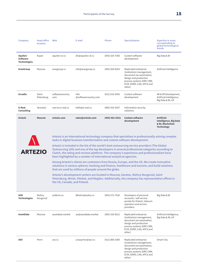| Company                                           | <b>Head office</b><br>location | Web                         | E-mail                                                                    | Phone              | <b>Specialization</b>                                                                                                                                                                                                                                                                         | <b>Expertise in areas</b><br>corresponding to<br>global technological<br>trends             |
|---------------------------------------------------|--------------------------------|-----------------------------|---------------------------------------------------------------------------|--------------------|-----------------------------------------------------------------------------------------------------------------------------------------------------------------------------------------------------------------------------------------------------------------------------------------------|---------------------------------------------------------------------------------------------|
| Aquilon<br><b>Software</b><br><b>Technologies</b> | Kazan                          | aquilon-st.ru               | dir@aquilon-st.ru                                                         | (843) 524-7366     | Custom software<br>development                                                                                                                                                                                                                                                                | Big Data & BI                                                                               |
| <b>AraxGroup</b>                                  | Moscow                         | araxgroup.ru                | info@araxgroup.ru                                                         | (495) 504-8263     | Replicated enterprise<br>(institution) management,<br>document ow automation,<br>design and production<br>process systems (ERP, CRM,<br>ECM, EDMS, CAD, APCS and<br>other)                                                                                                                    | Artificial Intelligence                                                                     |
| Arcadia                                           | Saint-<br>Petersburg           | softwarecountry.<br>com     | info<br>@softwarecountry.com                                              | $(812)$ 610-5955   | Custom software<br>development                                                                                                                                                                                                                                                                | AR & VR Development,<br>Artificial Intelligence,<br>Big Data & BI, IoT                      |
| A-Real<br><b>Consulting</b>                       | Yaroslavl                      | xserver.a-real.ru           | hello@a-real.ru                                                           | (800) 555-9297     | Information security<br>solutions                                                                                                                                                                                                                                                             |                                                                                             |
| Artezio                                           | <b>Moscow</b>                  | artezio.com                 | sales@artezio.com                                                         | (495) 981-0531     | <b>Custom software</b><br>development                                                                                                                                                                                                                                                         | <b>Artificial</b><br><b>Intelligence, Big Data</b><br>& BI, Blockchain<br><b>Technology</b> |
|                                                   |                                |                             | tasks in digital business transformation and custom software development. |                    | Artezio is an international technology company that specializes in professionally solving complex                                                                                                                                                                                             |                                                                                             |
| <b>ARTEZIO</b>                                    |                                |                             | been highlighted by a number of international analytical agencies.        |                    | Artezio is included in the list of the world's best outsourcing service providers (The Global<br>Outsourcing 100) and one of the top developers in several professional categories according to<br>Clutch, the rating and reviews platform. The company's experience and professionalism have |                                                                                             |
|                                                   |                                |                             | that are used by millions of people around the globe.                     |                    | Among Artezio's clients are customers from Russia, Europe, and the US. We create innovative<br>solutions in various spheres: banking and finance, healthcare and tourism, and build solutions                                                                                                 |                                                                                             |
|                                                   |                                | the US, Canada, and Poland. |                                                                           |                    | Artezio's development centers are located in Moscow, Saratov, Nizhny Novgorod, Saint<br>Petersburg, Minsk, Vitebsk, and Mogilev. Additionally, the company has representative offices in                                                                                                      |                                                                                             |
| <b>ASD</b><br><b>Technologies</b>                 | Nizhny<br>Novgorod             | asdtech.co                  | dfeshin@asdco.ru                                                          | $(963) 672 - 7526$ | Developers of personal<br>accounts / self-service<br>portals for fintech, telecom<br>operators and service<br>providers.                                                                                                                                                                      | Big Data & BI                                                                               |
| <b>AssetData</b>                                  | Moscow                         | assetdata.market            | au@assetdata.market                                                       | (965) 320-8512     | Replicated enterprise<br>(institution) management,<br>document ow automation,<br>design and production<br>process systems (ERP, CRM,<br>ECM, EDMS, CAD, APCS and<br>other)                                                                                                                    | Artificial Intelligence,<br>Big Data & BI, IoT                                              |
| <b>ASV</b>                                        | Perm                           | asv.ru                      | a.kazymov@asv.ru                                                          | $(912) 885 - 3300$ | Replicated enterprise<br>(institution) management,<br>document ow automation,<br>design and production<br>process systems (ERP, CRM,<br>ECM, EDMS, CAD, APCS and<br>other)                                                                                                                    | Smart City                                                                                  |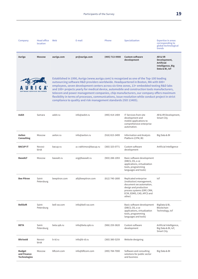| Company                                             | <b>Head office</b><br>location | Web           | E-mail                                                           | Phone              | <b>Specialization</b>                                                                                                                                                                                                                                                                                                                                                                                                                                                                                                                                                          | <b>Expertise in areas</b><br>corresponding to<br>global technological<br>trends    |
|-----------------------------------------------------|--------------------------------|---------------|------------------------------------------------------------------|--------------------|--------------------------------------------------------------------------------------------------------------------------------------------------------------------------------------------------------------------------------------------------------------------------------------------------------------------------------------------------------------------------------------------------------------------------------------------------------------------------------------------------------------------------------------------------------------------------------|------------------------------------------------------------------------------------|
| Auriga                                              | <b>Moscow</b>                  | auriga.com    | pr@auriga.com                                                    | (495) 713-9900     | <b>Custom software</b><br>development                                                                                                                                                                                                                                                                                                                                                                                                                                                                                                                                          | AR& VR<br>Development,<br><b>Artificial</b><br>Intelligence, Big<br>Data & BI, IoT |
|                                                     | <b>SERVICES DELIVERED</b>      |               | compliance to quality and risk management standards (ISO 13485). |                    | Established in 1990, Auriga (www.auriga.com) is recognized as one of the Top-100 leading<br>outsourcing software R&D providers worldwide. Headquartered in Boston, MA with 600+<br>employees, seven development centers across six time zones, 13+ embedded testing R&D labs<br>and 100+ projects yearly for medical device, automobile and construction tools manufacturers,<br>telecom and power management companies, chip manufacturers, our company offers maximum<br>flexibility in terms of processes, communications, issue resolution while conduct project in strict |                                                                                    |
| Axbit                                               | Samara                         | axbit.ru      | info@axbit.ru                                                    | (495) 414-1404     | IT Services from site<br>development and<br>mobile applications to<br>comprehensive enterprise<br>automation.                                                                                                                                                                                                                                                                                                                                                                                                                                                                  | AR & VR Development,<br>Smart City                                                 |
| Axilon<br><b>Consulting</b>                         | Moscow                         | axilon.ru     | info@axilon.ru                                                   | $(916) 815 - 3499$ | Information and Analysis<br>Platform (CPM, BI)                                                                                                                                                                                                                                                                                                                                                                                                                                                                                                                                 | Big Data & BI                                                                      |
| <b>BACUP IT</b>                                     | Novosi-<br>birsk               | bacup.ru      | a.r.rakhimov@bacup.ru                                            | $(383)$ 325-0771   | Custom software<br>development                                                                                                                                                                                                                                                                                                                                                                                                                                                                                                                                                 | Artificial Intelligence                                                            |
| <b>BaseALT</b>                                      | Moscow                         | basealt.ru    | org@basealt.ru                                                   | $(903)$ 288-1093   | Basic software development<br>(DBCS, OS, o ce<br>applications, virtualization<br>tools, programming<br>languages and tools)                                                                                                                                                                                                                                                                                                                                                                                                                                                    |                                                                                    |
| <b>Bee Pitron</b>                                   | Saint-<br>Petersburg           | beepitron.com | all@beepitron.com                                                | $(812)$ 740-1800   | Replicated enterprise<br>(institution) management,<br>document ow automation,<br>design and production<br>process systems (ERP, CRM,<br>ECM, EDMS, CAD, APCS and<br>other)                                                                                                                                                                                                                                                                                                                                                                                                     | IoT                                                                                |
| <b>BellSoft</b>                                     | Saint-<br>Petersburg           | bell-sw.com   | info@bell-sw.com                                                 |                    | Basic software development<br>(DBCS, OS, o ce<br>applications, virtualization<br>tools, programming<br>languages and tools)                                                                                                                                                                                                                                                                                                                                                                                                                                                    | BigData & BI,<br>Blockchain<br>Technology, IoT                                     |
| <b>BETA</b>                                         | Saint-<br>Petersburg           | beta.spb.ru   | info@beta.spb.ru                                                 | (906) 259-3820     | Custom software<br>development                                                                                                                                                                                                                                                                                                                                                                                                                                                                                                                                                 | Artificial Intelligence,<br>Big Data & BI, IoT,<br>Smart City                      |
| <b>Bitrixoid</b>                                    | Novosi-<br>birsk               | b-id.ru       | info@b-id.ru                                                     | $(383)$ 380-5259   | Website designing                                                                                                                                                                                                                                                                                                                                                                                                                                                                                                                                                              |                                                                                    |
| <b>Budget</b><br>and Finance<br><b>Technologies</b> | Moscow                         | bftcom.com    | info@bftcom.com                                                  | (495) 784-7000     | Software and consulting<br>solutions for public sector<br>and business                                                                                                                                                                                                                                                                                                                                                                                                                                                                                                         | Big Data & BI                                                                      |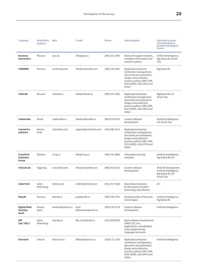| Company                                       | <b>Head office</b><br>location | Web              | E-mail                   | Phone            | <b>Specialization</b>                                                                                                                                                      | <b>Expertise in areas</b><br>corresponding to<br>global technological<br>trends       |
|-----------------------------------------------|--------------------------------|------------------|--------------------------|------------------|----------------------------------------------------------------------------------------------------------------------------------------------------------------------------|---------------------------------------------------------------------------------------|
| <b>Business</b><br><b>Automatics</b>          | Moscow                         | npc.ba           | info@pba.su              | (495) 221-2965   | Build and support complex,<br>intelligent information and<br>analysis systems                                                                                              | Artificial Intelligence,<br>Big Data & BI, Smart<br>City                              |
| <b>CEREBRO</b>                                | Moscow                         | cerebrohg.com    | info@cerebrohg.com       | (499) 110-3482   | Replicated enterprise<br>(institution) management,<br>document ow automation,<br>design and production<br>process systems (ERP, CRM,<br>ECM, EDMS, CAD, APCS and<br>other) | Big Data & BI                                                                         |
| <b>Chilisoft</b>                              | Moscow                         | chilisoft.ru     | info@chilisoft.ru        | $(905)$ 537-2692 | Replicated enterprise<br>(institution) management,<br>document ow automation,<br>design and production<br>process systems (ERP, CRM,<br>ECM, EDMS, CAD, APCS and<br>other) | BigData & BI, IoT,<br><b>Smart City</b>                                               |
| CodeInside                                    | Penza                          | codeinside.ru    | info@codeinside.ru       | (8412) 63-6736   | Custom software<br>development                                                                                                                                             | Artificial Intelligence,<br>IoT, Smart City                                           |
| <b>CommFort</b><br>software                   | Novosi-<br>birsk               | commfort.com     | support@commfort.com     | (383) 380-4274   | Replicated enterprise<br>(institution) management,<br>document ow automation,<br>design and production<br>process systems (ERP, CRM,<br>ECM, EDMS, CAD, APCS and<br>other) |                                                                                       |
| <b>CrossTech</b><br><b>Solutions</b><br>Group | Moscow                         | ct-sg.ru         | info@ct-sg.ru            | (495) 741-8864   | Information security<br>solutions                                                                                                                                          | Artificial Intelligence,<br>Big Data & BI, IoT                                        |
| <b>CVisionLab</b>                             | Taganrog                       | cvisionlab.com   | info@cvisionlab.com      | $(905)$ 454-3313 | Custom software<br>development                                                                                                                                             | AR & VR Development,<br>Artificial Intelligence,<br>Big Data & BI, IoT,<br>Smart City |
| CyberTech                                     | Saint-<br>Petersburg           | trikset.com      | mikhail@trikset.com      | (911) 917-6186   | <b>Educational solutions</b><br>for the study of modern<br>technology and robotics                                                                                         | IoT                                                                                   |
| <b>Diasoft</b>                                | Moscow                         | diasoft.ru       | pr@diasoft.ru            | (495) 780-7575   | Global provider of financial<br>technologies                                                                                                                               | Artificial Intelligence,<br>Big Data & BI                                             |
| <b>Digital Mind</b><br>Develop-<br>ment       | Krasno-<br>yarsk               | dmdevelopment.ru | dmd<br>@dmdevelopment.ru | (3912) 05-0778   | Custom software<br>development                                                                                                                                             | Artificial Intelligence                                                               |
| DIP<br>(stp "dip")                            | Saint-<br>Petersburg           | ntp-dip.ru       | dip_zenit@mail.ru        | $(911)$ 928-8478 | Basic software development<br>(DBCS, OS, o ce<br>applications, virtualization<br>tools, programming<br>languages and tools)                                                |                                                                                       |
| <b>Directum</b>                               | Izhevsk                        | directum.ru      | office@directum.ru       | $(3412)$ 72-1100 | Replicated enterprise<br>(institution) management,<br>document ow automation,<br>design and production<br>process systems (ERP, CRM,<br>ECM, EDMS, CAD, APCS and<br>other) | Artificial Intelligence                                                               |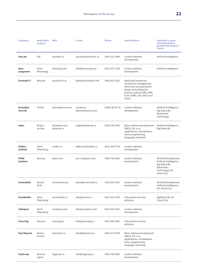| Company                       | <b>Head office</b><br>location | Web                          | E-mail                         | Phone              | <b>Specialization</b>                                                                                                                                                      | <b>Expertise in areas</b><br>corresponding to<br>global technological<br>trends                                    |
|-------------------------------|--------------------------------|------------------------------|--------------------------------|--------------------|----------------------------------------------------------------------------------------------------------------------------------------------------------------------------|--------------------------------------------------------------------------------------------------------------------|
| <b>DocLab</b>                 | Ufa                            | freshdoc.ru                  | avtushov@freshdoc.ru           | (495) 212-1484     | Custom software<br>development                                                                                                                                             | Artificial Intelligence                                                                                            |
| Dom<br>programm               | Saint-<br>Petersburg           | domprog.com                  | info@domprog.com               | $(812)$ 337-2136   | Custom software<br>development                                                                                                                                             | Artificial Intelligence                                                                                            |
| <b>Ecomash IT</b>             | Moscow                         | ecomash-it.ru                | kodeks@ecomash.info            | (495) 481-2220     | Replicated enterprise<br>(institution) management,<br>document ow automation,<br>design and production<br>process systems (ERP, CRM,<br>ECM, EDMS, CAD, APCS and<br>other) |                                                                                                                    |
| Econophy-<br>sica Ltd         | Tomsk                          | econophysica.com             | contactus<br>@econophysica.com | $(3822)$ 90-03-10  | Custom software<br>development                                                                                                                                             | Artificial Intelligence,<br>Big Data & BI,<br>Blockchain<br>Technology                                             |
| eidos                         | Rostov-<br>on-Don              | facebook.com/<br>lubarsky.ru | sergey@lubarsky.ru             | $(918) 558 - 3785$ | Basic software development<br>(DBCS, OS, o ce<br>applications, virtualization<br>tools, programming<br>languages and tools)                                                | Artificial Intelligence,<br>Big Data & BI                                                                          |
| <b>EmDev</b><br>Limited       | Saint-<br>Petersburg           | emdev.ru                     | akakunin@emdev.ru              | $(812)$ 385-5778   | Custom software<br>development                                                                                                                                             |                                                                                                                    |
| <b>EPAM</b><br><b>Systems</b> | Moscow                         | epam.com                     | ask_ru@epam.com                | (495) 730-6362     | Custom software<br>development                                                                                                                                             | AR & VR Development,<br>Artificial Intelligence,<br>Big Data & BI,<br>Blockchain<br>Technology, IoT,<br>Smart City |
| <b>ErmineSoft</b>             | Novosi-<br>birsk               | erminesoft.com               | denis@erminesoft.ru            | $(913)$ 926-2697   | Custom software<br>development                                                                                                                                             | AR & VR Development,<br>Artificial Intelligence,<br>IoT, Smart City                                                |
| <b>EuroMobile</b>             | Saint-<br>Petersburg           | euromobile.ru                | info@euroml.ru                 | (812) 331-7576     | Information security<br>solutions                                                                                                                                          | BigData & BI, IoT,<br>Smart City                                                                                   |
| eVelopers                     | Saint-<br>Petersburg           | evelopers.com                | info@evelopers.com             | (812) 032-4321     | Custom software<br>development                                                                                                                                             |                                                                                                                    |
| <b>EveryTag</b>               | Moscow                         | everytag.ru                  | hello@everytag.ru              | (495) 008-1695     | Information security<br>solutions                                                                                                                                          |                                                                                                                    |
| <b>Fast Reports</b>           | Rostov-<br>on-Don              | fastreport.ru                | info@fastreport.ru             | (863) 227-0740     | Basic software development<br>(DBCS, OS, o ce<br>applications, virtualization<br>tools, programming<br>languages and tools)                                                |                                                                                                                    |
| <b>FayGroup</b>               | Moscow<br>region               | faygroup.ru                  | info@faygroup.ru               | $(964) 786 - 6003$ | Custom software<br>development                                                                                                                                             |                                                                                                                    |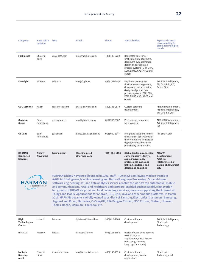| Company                                              | <b>Head office</b><br>location | Web              | E-mail                        | Phone              | <b>Specialization</b>                                                                                                                                                                                                                                                                                                                                                                                                                                                                    | <b>Expertise in areas</b><br>corresponding to<br>global technological<br>trends                   |
|------------------------------------------------------|--------------------------------|------------------|-------------------------------|--------------------|------------------------------------------------------------------------------------------------------------------------------------------------------------------------------------------------------------------------------------------------------------------------------------------------------------------------------------------------------------------------------------------------------------------------------------------------------------------------------------------|---------------------------------------------------------------------------------------------------|
| <b>ForClasses</b>                                    | Ekaterin-<br>burg              | moyklass.com     | info@moyklass.com             | (495) 108-5239     | Replicated enterprise<br>(institution) management,<br>document ow automation,<br>design and production<br>process systems (ERP, CRM,<br>ECM, EDMS, CAD, APCS and<br>other)                                                                                                                                                                                                                                                                                                               |                                                                                                   |
| Foresight                                            | Moscow                         | fsight.ru        | info@fsight.ru                | (495) 137-5498     | Replicated enterprise<br>(institution) management,<br>document ow automation,<br>design and production<br>process systems (ERP, CRM,<br>ECM, EDMS, CAD, APCS and<br>other)                                                                                                                                                                                                                                                                                                               | Artificial Intelligence,<br>Big Data & BI, IoT,<br>Smart City                                     |
| <b>GDC Services</b>                                  | Kazan                          | icl-services.com | pr@icl-services.com           | (800) 333-9870     | Custom software<br>development                                                                                                                                                                                                                                                                                                                                                                                                                                                           | AR & VR Development,<br>Artificial Intelligence,<br>Big Data & BI, IoT                            |
| Geoscan<br>Group                                     | Saint-<br>Petersburg           | geoscan.aero     | info@geoscan.aero             | $(812)$ 363-3387   | Professional unmanned<br>technologies                                                                                                                                                                                                                                                                                                                                                                                                                                                    | AR & VR Development,<br>Artificial Intelligence,<br>IoT                                           |
| <b>GS Labs</b>                                       | Saint-<br>Petersburg           | gs-labs.ru       | alexey.goilo@gs-labs.ru       | $(911) 000 - 3347$ | Integrated solutions for the<br>formation of ecosystems for<br>the creation and delivery of<br>digital products based on<br>proprietary technologies                                                                                                                                                                                                                                                                                                                                     | IoT, Smart City                                                                                   |
| <b>HARMAN</b><br><b>Connected</b><br><b>Services</b> | <b>Nizhny</b><br>Novgorod      | harman.com       | Olga.Sheinfeld<br>@harman.com | $(905) 664 - 1155$ | <b>Global leader in connected</b><br>car technology, lifestyle<br>audio innovations,<br>professional audio and<br>lighting solutions, and<br>design and analytics                                                                                                                                                                                                                                                                                                                        | AR& VR<br>Development,<br><b>Artificial</b><br>Intelligence, Big<br>Data & BI, IoT, Smart<br>City |
| HARMA                                                | SAMSUNG COMPANY                |                  |                               |                    | HARMAN Nizhny Novgorod (founded in 1991, staff - 700 eng.) is following modern trends in<br>Artificial Intelligence, Machine Learning and Natural Language Processing. Our end-to-end<br>software engineering, IoT and data analytics services enable the world's top automotive, mobile<br>and communications, retail and healthcare and software-enabled businesses drive innovation-<br>led growth. HARMAN NN provides cloud technology services, services supporting the Internet of |                                                                                                   |

**Things and Mobile Applications for Android, iOS, QNX, Java and other mobile platforms. In March 2017, HARMAN became a wholly-owned subsidiary of Samsung Electronics. Customers: Samsung, Jaguar-Land Rover, Mercedes, OnStar/GM, PSA PeugeotCitroën, MSC Cruises, Nielsen, Huawei, Thales, Roсhe, MainCare, Facebook etc.**

| High<br><b>Technologies</b><br>Center | Izhevsk          | htc-cs.ru      | dpletnev@htcmail.ru | $(906) 818 - 7668$ | Custom software<br>development                                                                                              | Artificial Intelligence,<br><b>Blockchain</b><br>Technology |
|---------------------------------------|------------------|----------------|---------------------|--------------------|-----------------------------------------------------------------------------------------------------------------------------|-------------------------------------------------------------|
| <b>IBIK LLC</b>                       | Moscow           | ibik.ru        | director@ibik.ru    | $(977)$ 261-1668   | Basic software development<br>(DBCS, OS, o ce<br>applications, virtualization<br>tools, programming<br>languages and tools) |                                                             |
| <b>IceRock</b><br>Develop-<br>ment    | Novosi-<br>birsk | icerockdev.com | info@icerockdev.com | (495) 109-7329     | Custom software<br>development, Mobile<br>applications                                                                      | <b>Blockchain</b><br>Technology, IoT                        |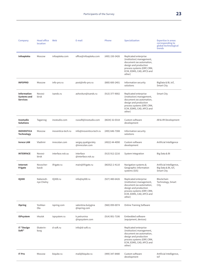| Company                                                     | <b>Head office</b><br>location | Web                | E-mail                                | Phone              | <b>Specialization</b>                                                                                                                                                      | <b>Expertise in areas</b><br>corresponding to<br>global technological<br>trends |
|-------------------------------------------------------------|--------------------------------|--------------------|---------------------------------------|--------------------|----------------------------------------------------------------------------------------------------------------------------------------------------------------------------|---------------------------------------------------------------------------------|
| Infoapteka                                                  | Moscow                         | infoapteka.com     | office@infoapteka.com                 | (495) 150-3426     | Replicated enterprise<br>(institution) management,<br>document ow automation,<br>design and production<br>process systems (ERP, CRM,<br>ECM, EDMS, CAD, APCS and<br>other) |                                                                                 |
| <b>INFOPRO</b>                                              | Moscow                         | info-pro.ru        | post@info-pro.ru                      | (800) 600-2401     | Information security<br>solutions                                                                                                                                          | BigData & BI, IoT,<br>Smart City                                                |
| <b>Information</b><br><b>Systems and</b><br><b>Services</b> | Novosi-<br>birsk               | isands.ru          | ashovkun@isands.ru                    | $(913)$ 377-9002   | Replicated enterprise<br>(institution) management,<br>document ow automation,<br>design and production<br>process systems (ERP, CRM,<br>ECM, EDMS, CAD, APCS and<br>other) | Smart City                                                                      |
| Inostudio<br><b>Solutions</b>                               | Taganrog                       | inostudio.com      | russoft@inostudio.com                 | $(8634)$ 32-0318   | Custom software<br>development                                                                                                                                             | AR & VR Development                                                             |
| <b>INOVENTICA</b><br><b>Technology</b>                      | Moscow                         | inoventica-tech.ru | info@inoventica-tech.ru               | (495) 646-7308     | Information security<br>solutions                                                                                                                                          |                                                                                 |
| <b>Inreco LAN</b>                                           | Vladimir                       | inrecolan.com      | sergey.pyatigorskiy<br>@inrecolan.com | (4922) 44-4090     | Custom software<br>development                                                                                                                                             | Artificial Intelligence                                                         |
| <b>INTERFACE</b>                                            | Novosi-<br>birsk               | interface.nsk.su   | interface<br>@interface.nsk.su        | $(913)$ 912-2216   | System Integration                                                                                                                                                         | Big Data & BI                                                                   |
| Internet-<br>Frigate                                        | Novocher-<br>kassk             | ifrigate.ru        | main@ifrigate.ru                      | $(86352)$ 2-4110   | Navigation systems &<br>Geographic information<br>systems (GIS)                                                                                                            | Artificial Intelligence,<br>Big Data & BI, IoT,<br>Smart City                   |
| <b>IQ300</b>                                                | Naberezh-<br>nye Chelny        | IQ300.ru           | info@iq300.ru                         | $(927)$ 480-6426   | Replicated enterprise<br>(institution) management,<br>document ow automation,<br>design and production<br>process systems (ERP, CRM,<br>ECM, EDMS, CAD, APCS and<br>other) | Blockchain<br>Technology, Smart<br>City                                         |
| iSpring                                                     | Yoshkar-<br>Ola                | ispring.com        | valentina.bulygina<br>@ispring.com    | (960) 099-0074     | <b>Online Training Software</b>                                                                                                                                            |                                                                                 |
| <b>ISPsystem</b>                                            | Irkutsk                        | ispsystem.ru       | k.petrunina<br>@ispsystem.com         | $(914) 001 - 7106$ | Embedded software<br>(equipment, devices)                                                                                                                                  |                                                                                 |
| IT "Design<br>Soft"                                         | Ekaterin-<br>burg              | d-soft.ru          | info@d-soft.ru                        |                    | Replicated enterprise<br>(institution) management,<br>document ow automation,<br>design and production<br>process systems (ERP, CRM,<br>ECM, EDMS, CAD, APCS and<br>other) |                                                                                 |
| <b>IT Pro</b>                                               | Moscow                         | biqube.ru          | mail@biqube.ru                        | (499) 347-8480     | Custom software<br>development                                                                                                                                             | Artificial Intelligence,<br>IoT                                                 |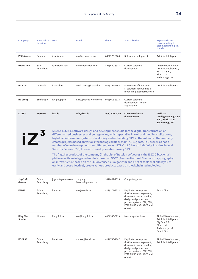| Company                           | <b>Head office</b><br>location | Web                | E-mail                                                          | Phone              | <b>Specialization</b>                                                                                                                                                                                                                                                                                                                                                                                                                                                                                                                                                                                                                                                                                                                                                                                                                                                                 | <b>Expertise in areas</b><br>corresponding to<br>global technological<br>trends                                    |
|-----------------------------------|--------------------------------|--------------------|-----------------------------------------------------------------|--------------------|---------------------------------------------------------------------------------------------------------------------------------------------------------------------------------------------------------------------------------------------------------------------------------------------------------------------------------------------------------------------------------------------------------------------------------------------------------------------------------------------------------------------------------------------------------------------------------------------------------------------------------------------------------------------------------------------------------------------------------------------------------------------------------------------------------------------------------------------------------------------------------------|--------------------------------------------------------------------------------------------------------------------|
| <b>IT Universe</b>                | Samara                         | it-universe.ru     | info@it-universe.ru                                             | (846) 979-8080     | Software development                                                                                                                                                                                                                                                                                                                                                                                                                                                                                                                                                                                                                                                                                                                                                                                                                                                                  | Artificial Intelligence                                                                                            |
| <b>Itransition</b>                | Saint-<br>Petersburg           | itransition.com    | info@itransition.com                                            | (495) 640-8937     | Custom software<br>development                                                                                                                                                                                                                                                                                                                                                                                                                                                                                                                                                                                                                                                                                                                                                                                                                                                        | AR & VR Development,<br>Artificial Intelligence,<br>Big Data & BI,<br>Blockchain<br>Technology, IoT                |
| <b>IVCS Ltd</b>                   | Innopolis                      | iva-tech.ru        | m.tuktarova@iva-tech.ru                                         | $(916) 794 - 2562$ | Developers of innovative<br>IT solutions for building a<br>modern digital infostructure                                                                                                                                                                                                                                                                                                                                                                                                                                                                                                                                                                                                                                                                                                                                                                                               | Artificial Intelligence                                                                                            |
| <b>IW Group</b>                   | Simferopol                     | iw-group.pro       | alexey@ideas-world.com                                          | (978) 015-6915     | Custom software<br>development, Mobile<br>applications                                                                                                                                                                                                                                                                                                                                                                                                                                                                                                                                                                                                                                                                                                                                                                                                                                |                                                                                                                    |
| <b>IZZZIO</b>                     | <b>Moscow</b>                  | izzz.io            | info@izzz.io                                                    | $(905) 520 - 3080$ | <b>Custom software</b><br>development                                                                                                                                                                                                                                                                                                                                                                                                                                                                                                                                                                                                                                                                                                                                                                                                                                                 | <b>Artificial</b><br>Intelligence, Big Data<br>& BI, Blockchain<br>Technology, IoT                                 |
| $\mathsf{I} \mathsf{Z}^3$         |                                |                    | Security Service (FSB) license to develop solutions using CIPF. |                    | IZZZIO, LLC is a software design and development studio for the digital transformation of<br>different-sized businesses and gov agencies, which specialize in web and mobile applications,<br>high-load information systems, developing and embedding CIPF in the software. The company<br>creates projects based on various technologies: blockchain, AI, Big data, IoT, as well as has a<br>number of own developments for different areas. IZZZIO, LLC has an indefinite Russian Federal<br>The flagship product of the company (in the List of Russian software) is the IZZZIO blockchain<br>platform with an integrated module based on GOST (Russian National Standard) cryptography:<br>an infrastructure based on the LCPoA consensus algorithm and a set of tools that allow you to<br>easily and cost-effectively create various products based on blockchain technologies. |                                                                                                                    |
| JoyCraft<br>Games                 | Saint-<br>Petersburg           | joycraft-games.com | company<br>@joycraft-games.com                                  | (981) 862-7328     | Computer games                                                                                                                                                                                                                                                                                                                                                                                                                                                                                                                                                                                                                                                                                                                                                                                                                                                                        |                                                                                                                    |
| <b>KAMIS</b>                      | Saint-<br>Petersburg           | kamis.ru           | info@kamis.ru                                                   | (812) 274-3522     | Replicated enterprise<br>(institution) management,<br>document ow automation,<br>design and production<br>process systems (ERP, CRM,<br>ECM, EDMS, CAD, APCS and<br>other)                                                                                                                                                                                                                                                                                                                                                                                                                                                                                                                                                                                                                                                                                                            | Smart City                                                                                                         |
| <b>King Bird</b><br><b>Studio</b> | Moscow                         | kingbird.ru        | ask@kingbird.ru                                                 | (495) 540-5229     | Mobile applications                                                                                                                                                                                                                                                                                                                                                                                                                                                                                                                                                                                                                                                                                                                                                                                                                                                                   | AR & VR Development,<br>Artificial Intelligence,<br>Big Data & BI,<br>Blockchain<br>Technology, IoT,<br>Smart City |
| <b>KODEKS</b>                     | Saint-<br>Petersburg           | kodeks.ru          | kodeks@kodeks.ru                                                | (812) 740-7887     | Replicated enterprise<br>(institution) management,<br>document ow automation,<br>design and production<br>process systems (ERP, CRM,<br>ECM, EDMS, CAD, APCS and<br>other)                                                                                                                                                                                                                                                                                                                                                                                                                                                                                                                                                                                                                                                                                                            | AR & VR Development,<br>Artificial Intelligence                                                                    |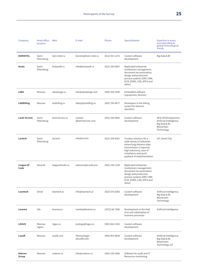| Company                | <b>Head office</b><br>location | Web             | E-mail                       | Phone              | <b>Specialization</b>                                                                                                                                                                           | <b>Expertise in areas</b><br>corresponding to<br>global technological<br>trends                |
|------------------------|--------------------------------|-----------------|------------------------------|--------------------|-------------------------------------------------------------------------------------------------------------------------------------------------------------------------------------------------|------------------------------------------------------------------------------------------------|
| <b>KOMINTEL</b>        | Saint-<br>Petersburg           | kom-intel.ru    | konstvk@kom-intel.ru         | (812) 931-1272     | Custom software<br>development                                                                                                                                                                  | Big Data & BI                                                                                  |
| Kosta                  | Saint-<br>Petersburg           | kostasoft.ru    | info@kostasoft.ru            | $(812)$ 320-0607   | Replicated enterprise<br>(institution) management,<br>document ow automation,<br>design and production<br>process systems (ERP, CRM,<br>ECM, EDMS, CAD, APCS and<br>other)                      |                                                                                                |
| <b>LABS</b>            | Moscow                         | advalange.ru    | info@advalange.com           | (499) 350-2599     | Embedded software<br>(equipment, devices)                                                                                                                                                       |                                                                                                |
| <b>LANBilling</b>      | Moscow                         | lanbilling.ru   | itdep@lanbilling.ru          | (495) 795-0677     | Developers in the billing<br>system for telecom<br>operators                                                                                                                                    |                                                                                                |
| Lanit-Tercom           | Saint-<br>Petersburg           | lanit-tercom.ru | contact<br>@lanit-tercom.com | (931) 330-9982     | Custom software<br>development                                                                                                                                                                  | AR & VR Development,<br>Artificial Intelligence,<br>Big Data & BI,<br>Blockchain<br>Technology |
| Lartech                | Saint-<br>Petersburg           | lar.tech        | info@lar.tech                | $(812)$ 339-4501   | Turnkey solutions for a<br>wide variety of industries<br>where long-distance data<br>transmission is required,<br>high autonomy, ease of<br>installation and quick<br>payback of implementation | IoT, Smart City                                                                                |
| League Of<br>Code      | Saransk                        | leagueofcode.ru | welcome@Lcode.pro            | $(963)$ 149-1199   | Replicated enterprise<br>(institution) management,<br>document ow automation,<br>design and production<br>process systems (ERP, CRM,<br>ECM, EDMS, CAD, APCS and<br>other)                      |                                                                                                |
| Leantech               | Omsk                           | leantech.ai     | info@leantech.ai             | $(923) 676 - 0266$ | Custom software<br>development                                                                                                                                                                  | Artificial Intelligence,<br>Big Data & BI,<br>Blockchain<br>Technology                         |
| Lexema                 | Ufa                            | lexema.ru       | market@lexema.ru             | (3472) 84-7000     | Development in the field<br>of ai and robotization of<br>business processes                                                                                                                     | Artificial Intelligence                                                                        |
| <b>LOGUS</b>           | Moscow<br>region               | logus.ru        | ecology@logus.ru             | $(903) 664 - 1923$ | Custom software<br>development                                                                                                                                                                  |                                                                                                |
| Luxoft                 | Moscow                         | luxoft.com      | Wereschagin<br>@luxoft.com   | (495) 967-8030     | Custom software<br>development                                                                                                                                                                  | Artificial Intelligence,<br>Big Data & BI,<br>Blockchain<br>Technology, IoT                    |
| <b>Makves</b><br>Group | Moscow                         | makves.ru       | info@makves.ru               | (495) 150-5406     | Software for audit and IT<br>Resources monitoring                                                                                                                                               |                                                                                                |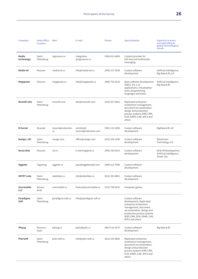| Company                  | <b>Head office</b><br>location | Web                      | E-mail                              | Phone              | <b>Specialization</b>                                                                                                                                                                                      | <b>Expertise in areas</b><br>corresponding to<br>global technological<br>trends |
|--------------------------|--------------------------------|--------------------------|-------------------------------------|--------------------|------------------------------------------------------------------------------------------------------------------------------------------------------------------------------------------------------------|---------------------------------------------------------------------------------|
| Media<br>technology      | Saint-<br>Petersburg           | sigmasms.ru              | integration<br>@sigmasms.ru         | (904) 615-4608     | Content provider for<br>A2P text and multimedia<br>messaging                                                                                                                                               |                                                                                 |
| Media-tel                | Moscow                         | media-tel.ru             | info@media-tel.ru                   | (499) 272-7658     | Custom software<br>development                                                                                                                                                                             | Artificial Intelligence,<br>Big Data & BI, IoT                                  |
| Megaputer                | Moscow                         | megaputer.ru             | info@megaputer.ru                   | (499) 753-0129     | Basic software development<br>(DBCS, OS, o ce<br>applications, virtualization<br>tools, programming<br>languages and tools)                                                                                | Artificial Intelligence,<br>Big Data & BI                                       |
| Monolit-Info             | Saint-<br>Petersburg           | monolit.com              | alex@monolit.com                    | (921) 937-8542     | Replicated enterprise<br>(institution) management,<br>document ow automation,<br>design and production<br>process systems (ERP, CRM,<br>ECM, EDMS, CAD, APCS and<br>other)                                 |                                                                                 |
| M-Social                 | Bryansk                        | msocialproduction.<br>ru | a.trishin@<br>msocialproduction.com | $(962)$ 131-6236   | Custom software<br>development                                                                                                                                                                             | BigData & BI, IoT                                                               |
| Nexign, JSC              | Saint-<br>Petersburg           | nexign.com               | office@nexign.com                   | $(812)$ 326-1299   | Custom software<br>development                                                                                                                                                                             | Blockchain<br>Technology, IoT                                                   |
| <b>Noviy Disk</b>        | Moscow                         | nd.ru                    | e-learning@nd.ru                    | (495) 785-6514     | Custom software<br>development                                                                                                                                                                             | AR & VR Development,<br>Artificial Intelligence,<br>Smart City                  |
| Oggetto                  | Taganrog                       | oggetto.ru               | paul@oggettoweb.com                 | $(989)$ 612-7000   | Custom software<br>development                                                                                                                                                                             |                                                                                 |
| <b>OKTET Labs</b>        | Saint-<br>Petersburg           | oktetlabs.ru             | info@oktetlabs.ru                   | $(812)$ 335-4801   | Custom software<br>development                                                                                                                                                                             |                                                                                 |
| Overmobile<br><b>LLC</b> | Novosi-<br>birsk               | overmobile.ru            | finance@overmobile.ru               | $(913) 798 - 0533$ | Computer games                                                                                                                                                                                             |                                                                                 |
| Paradigma<br>Soft        | Saint-<br>Petersburg           | paradigma-soft.ru        | info@paradigma-soft.ru              |                    | Custom software<br>development, Replicated<br>enterprise (institution)<br>management, document<br>ow automation, design and<br>production process systems<br>(ERP, CRM, ECM, EDMS, CAD,<br>APCS and other) |                                                                                 |
| <b>Pikyug</b>            | Novoros-<br>siysk              | pikyug.ru                | py01@py01.ru                        | $(8617) 61 - 0175$ | Custom software<br>development                                                                                                                                                                             | Big Data & BI                                                                   |
| <b>PiterSoft</b>         | Saint-<br>Petersburg           | piter-soft.ru            | info@piter-soft.ru                  | $(812)$ 333-0860   | Replicated enterprise<br>(institution) management,<br>document ow automation,<br>design and production<br>process systems (ERP, CRM,<br>ECM, EDMS, CAD, APCS and<br>other)                                 |                                                                                 |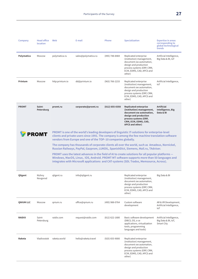| Company          | <b>Head office</b><br>location | Web             | E-mail                                                        | Phone              | <b>Specialization</b>                                                                                                                                                                                                                                                                                                                                                             | <b>Expertise in areas</b><br>corresponding to<br>global technological<br>trends |
|------------------|--------------------------------|-----------------|---------------------------------------------------------------|--------------------|-----------------------------------------------------------------------------------------------------------------------------------------------------------------------------------------------------------------------------------------------------------------------------------------------------------------------------------------------------------------------------------|---------------------------------------------------------------------------------|
| Polymatica       | Moscow                         | polymatica.ru   | sales@polymatica.ru                                           | (495) 748-8484     | Replicated enterprise<br>(institution) management,<br>document ow automation,<br>design and production<br>process systems (ERP, CRM,<br>ECM, EDMS, CAD, APCS and<br>other)                                                                                                                                                                                                        | Artificial Intelligence,<br>Big Data & BI, IoT                                  |
| Printum          | Moscow                         | http:printum.io | dd@printum.io                                                 | $(963) 766 - 2233$ | Replicated enterprise<br>(institution) management,<br>document ow automation,<br>design and production<br>process systems (ERP, CRM,<br>ECM, EDMS, CAD, APCS and<br>other)                                                                                                                                                                                                        | Artificial Intelligence,<br>IoT                                                 |
| <b>PROMT</b>     | Saint-<br>Petersburg           | promt.ru        | corporate@promt.ru                                            | $(812)$ 655-0350   | <b>Replicated enterprise</b><br>(institution) management,<br>document ow automation,<br>design and production<br>process systems (ERP,<br>CRM, ECM, EDMS, CAD,<br>APCS and other)                                                                                                                                                                                                 | <b>Artificial</b><br>Intelligence, Big<br>Data & BI                             |
|                  | PROMT                          |                 | vendors from Europe and one of the TOP-10 companies globally. |                    | PROMT is one of the world's leading developers of linguistic IT-solutions for enterprise-level<br>clients and private users since 1991. The company is among the few machine translation software<br>The company has thousands of corporate clients all over the world, such as Amadeus, Nornickel,                                                                               |                                                                                 |
|                  |                                |                 |                                                               |                    | Russian Railways, PayPal, Gazprom, LUKOIL, SpanishDict, Siemens, Mail.ru, TAdviser.<br>PROMT uses the latest advances in the field of AI to create solutions for all popular platforms -<br>Windows, MacOS, Linux, iOS, Android. PROMT MT software supports more than 50 languages and<br>integrates with Microsoft applications and CAT-systems (SDL Trados, Memsource, Across). |                                                                                 |
| Qligent          | Nizhny<br>Novgorod             | gligent.ru      | info@qligent.ru                                               |                    | Replicated enterprise<br>(institution) management,<br>document ow automation,<br>design and production<br>process systems (ERP, CRM,<br>ECM, EDMS, CAD, APCS and<br>other)                                                                                                                                                                                                        | Big Data & BI                                                                   |
| <b>QNIUM LLC</b> | Moscow                         | qnium.ru        | office@qnium.ru                                               | (495) 988-0764     | Custom software<br>development                                                                                                                                                                                                                                                                                                                                                    | AR & VR Development,<br>Artificial Intelligence,<br>IoT                         |
| <b>RAIDIX</b>    | Saint-<br>Petersburg           | raidix.com      | request@raidix.com                                            | $(812)$ 622-1680   | Basic software development<br>(DBCS, OS, o ce<br>applications, virtualization<br>tools, programming<br>languages and tools)                                                                                                                                                                                                                                                       | Artificial Intelligence,<br>Big Data & BI, IoT,<br>Smart City                   |
| Raketa           | Vladivostok                    | raketa.world    | hello@raketa.travel                                           | $(925)$ 655-9000   | Replicated enterprise<br>(institution) management,<br>document ow automation,<br>design and production<br>process systems (ERP, CRM,<br>ECM, EDMS, CAD, APCS and<br>other)                                                                                                                                                                                                        |                                                                                 |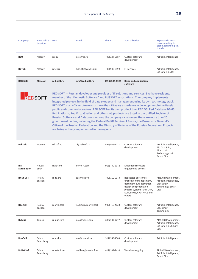| Company                  | <b>Head office</b><br>location | Web          | E-mail                                         | <b>Phone</b>     | <b>Specialization</b>                                                                                                                                                                                                                                                                                                                                                                                                                                                                                                                                                                                                                                                                                                                                                                                                                                                                | <b>Expertise in areas</b><br>corresponding to<br>global technological<br>trends             |
|--------------------------|--------------------------------|--------------|------------------------------------------------|------------------|--------------------------------------------------------------------------------------------------------------------------------------------------------------------------------------------------------------------------------------------------------------------------------------------------------------------------------------------------------------------------------------------------------------------------------------------------------------------------------------------------------------------------------------------------------------------------------------------------------------------------------------------------------------------------------------------------------------------------------------------------------------------------------------------------------------------------------------------------------------------------------------|---------------------------------------------------------------------------------------------|
| <b>RCO</b>               | Moscow                         | rco.ru       | info@rco.ru                                    | (495) 287-9887   | Custom software<br>development                                                                                                                                                                                                                                                                                                                                                                                                                                                                                                                                                                                                                                                                                                                                                                                                                                                       | Artificial Intelligence                                                                     |
| <b>RDTEX</b>             | Moscow                         | rdtex.ru     | marketing@rdtex.ru                             | (495) 995-0999   | <b>IT Services</b>                                                                                                                                                                                                                                                                                                                                                                                                                                                                                                                                                                                                                                                                                                                                                                                                                                                                   | Artificial Intelligence,<br>Big Data & BI, IoT                                              |
| <b>RED Soft</b>          | <b>Moscow</b>                  | red-soft.ru  | info@red-soft.ru                               | (495) 285-6268   | <b>Basic and application</b><br>software                                                                                                                                                                                                                                                                                                                                                                                                                                                                                                                                                                                                                                                                                                                                                                                                                                             |                                                                                             |
| <b>REDSOFT</b>           |                                |              | are being actively implemented in the regions. |                  | RED SOFT - Russian developer and provider of IT solutions and services; Skolkovo resident,<br>member of the "Domestic Software" and RUSSOFT associations. The company implements<br>integrated projects in the field of data storage and management using its own technology stack.<br>RED SOFT is an efficient team with more than 15 years experience in development in the Russian<br>public and commercial sectors. RED SOFT has its own product line: RED OS, Red Database DBMS,<br>Red Platform, Red Virtualization and others. All products are listed in the Unified Register of<br>Russian Software and Databases. Among the company's customers there are more than 20<br>government bodies, including the Federal Bailiff Service of Russia, the Prosecutor General's<br>Office of the Russian Federation and the Ministry of Defense of the Russian Federation. Projects |                                                                                             |
| <b>Reksoft</b>           | Moscow                         | reksoft.ru   | rfi@reksoft.ru                                 | (495) 926-1771   | Custom software<br>development                                                                                                                                                                                                                                                                                                                                                                                                                                                                                                                                                                                                                                                                                                                                                                                                                                                       | Artificial Intelligence,<br>Big Data & BI,<br>Blockchain<br>Technology, IoT,<br>Smart City  |
| <b>RIT</b><br>automation | Novosi-<br>birsk               | rit-it.com   | lb@rit-it.com                                  | (913) 700-8372   | Embedded software<br>(equipment, devices)                                                                                                                                                                                                                                                                                                                                                                                                                                                                                                                                                                                                                                                                                                                                                                                                                                            |                                                                                             |
| <b>RNDSOFT</b>           | Rostov-<br>on-Don              | rnds.pro     | es@rnds.pro                                    | (499) 110-9973   | Replicated enterprise<br>(institution) management,<br>document ow automation,<br>design and production<br>process systems (ERP, CRM,<br>ECM, EDMS, CAD, APCS and<br>other)                                                                                                                                                                                                                                                                                                                                                                                                                                                                                                                                                                                                                                                                                                           | AR & VR Development,<br>Artificial Intelligence,<br>Blockchain<br>Technology, Smart<br>City |
| Roonyx                   | Rostov-<br>on-Don              | roonyx.tech  | vladimir@roonyx.tech                           | $(909)$ 413-4138 | Custom software<br>development                                                                                                                                                                                                                                                                                                                                                                                                                                                                                                                                                                                                                                                                                                                                                                                                                                                       | Artificial Intelligence,<br>Blockchain<br>Technology                                        |
| <b>Rubius</b>            | Tomsk                          | rubius.com   | info@rubius.com                                | (3822) 97-7772   | Custom software<br>development                                                                                                                                                                                                                                                                                                                                                                                                                                                                                                                                                                                                                                                                                                                                                                                                                                                       | AR & VR Development,<br>Artificial Intelligence,<br>Big Data & BI, Smart<br>City            |
| <b>RunCall</b>           | Saint-<br>Petersburg           | runcall.ru   | info@runcall.ru                                | $(911)$ 949-4560 | Custom software<br>development                                                                                                                                                                                                                                                                                                                                                                                                                                                                                                                                                                                                                                                                                                                                                                                                                                                       | Artificial Intelligence                                                                     |
| <b>RuNetSoft</b>         | Saint-<br>Petersburg           | runetsoft.ru | mailbox@runetsoft.ru                           | $(812)$ 337-2414 | Website designing                                                                                                                                                                                                                                                                                                                                                                                                                                                                                                                                                                                                                                                                                                                                                                                                                                                                    | AR & VR Development,<br>Artificial Intelligence,<br><b>Smart City</b>                       |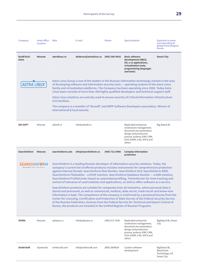| Company                                     | <b>Head office</b><br>location | Web                                                | E-mail                                                                         | Phone            | <b>Specialization</b>                                                                                                                                                                                                                                                                                                                                                                                                                                                                                                                                                                                                                                                                                                                                                                                                                                                                                                                                                                                                                                                                                   | <b>Expertise in areas</b><br>corresponding to<br>global technological<br>trends |
|---------------------------------------------|--------------------------------|----------------------------------------------------|--------------------------------------------------------------------------------|------------------|---------------------------------------------------------------------------------------------------------------------------------------------------------------------------------------------------------------------------------------------------------------------------------------------------------------------------------------------------------------------------------------------------------------------------------------------------------------------------------------------------------------------------------------------------------------------------------------------------------------------------------------------------------------------------------------------------------------------------------------------------------------------------------------------------------------------------------------------------------------------------------------------------------------------------------------------------------------------------------------------------------------------------------------------------------------------------------------------------------|---------------------------------------------------------------------------------|
| <b>RusBITech-</b><br>Astra                  | <b>Moscow</b>                  | astralinux.ru                                      | sfedorov@astralinux.ru                                                         | $(495)$ 369-4816 | <b>Basic software</b><br>development (DBCS,<br>OS, o ce applications,<br>virtualization tools,<br>programming languages<br>and tools)                                                                                                                                                                                                                                                                                                                                                                                                                                                                                                                                                                                                                                                                                                                                                                                                                                                                                                                                                                   | <b>Smart City</b>                                                               |
| <b>ASTRA LINUX</b>                          |                                |                                                    |                                                                                |                  | Astra Linux Group is one of the leaders in the Russian information technology market in the area<br>of developing software and information security tools - operating systems of the Astra Linux<br>family and virtualization platforms. The Company has been operating since 2008. Today Astra<br>Linux team consists of more than 300 highly qualified developers and technical support staff.<br>Astra Linux solutions are actively used to ensure security of Critical Information Infrastructure                                                                                                                                                                                                                                                                                                                                                                                                                                                                                                                                                                                                   |                                                                                 |
|                                             |                                | (CII) facilities.<br>international & local awards. |                                                                                |                  | The company is a member of 'Russoft' and ARPP Software Developers association. Winner of                                                                                                                                                                                                                                                                                                                                                                                                                                                                                                                                                                                                                                                                                                                                                                                                                                                                                                                                                                                                                |                                                                                 |
| <b>SDI SOFT</b>                             | Moscow                         | sdisoft.ru                                         | info@sdisoft.ru                                                                |                  | Replicated enterprise<br>(institution) management,<br>document ow automation,<br>design and production<br>process systems (ERP, CRM,<br>ECM, EDMS, CAD, APCS and<br>other)                                                                                                                                                                                                                                                                                                                                                                                                                                                                                                                                                                                                                                                                                                                                                                                                                                                                                                                              | Big Data & BI                                                                   |
|                                             |                                |                                                    |                                                                                |                  |                                                                                                                                                                                                                                                                                                                                                                                                                                                                                                                                                                                                                                                                                                                                                                                                                                                                                                                                                                                                                                                                                                         |                                                                                 |
| <b>Searchinform</b>                         | <b>Moscow</b>                  | searchinform.com                                   | info@searchinform.ru                                                           | (495) 721-8406   | <b>Complex information</b><br>protection                                                                                                                                                                                                                                                                                                                                                                                                                                                                                                                                                                                                                                                                                                                                                                                                                                                                                                                                                                                                                                                                |                                                                                 |
| <b>SEARCHINF@RM</b><br>INFORMATION SECURITY |                                |                                                    | Russia, the products are included in the Unified Register of Russian Programs. |                  | SearchInform is a leading Russian developer of information security solutions. Today, the<br>company's current list of offered products includes instruments for comprehensive protection<br>against internal threats: SearchInform Risk Monitor, SearchInform DLP, SearchInform SIEM,<br>SearchInform FileAuditor - a DCAP solution, SearchInform Database Monitor - a DAM solution,<br>SearchInform ProfileCenter based on automated profiling, TimeInformer for time-tracking and<br>control of relevance of used websites and applications, as well as offers software as a service.<br>SearchInform products are suitable for companies from all industries, where personal data is<br>stored and processed, as well as commercial, medical, state secret, trade secret and know-how<br>information is kept. The competence of the company is confirmed by a perpetual license from the<br>Center for Licensing, Certification and Protection of State Secrets of the Federal Security Service<br>of the Russian Federation, licenses from the Federal Service for Technical and Export Control of |                                                                                 |
| <b>SFERA</b>                                | Moscow                         | sphaera.ru                                         | info@sphaera.ru                                                                | (495) 672-7036   | Replicated enterprise<br>(institution) management,<br>document ow automation,<br>design and production<br>process systems (ERP, CRM,<br>ECM, EDMS, CAD, APCS and<br>other)                                                                                                                                                                                                                                                                                                                                                                                                                                                                                                                                                                                                                                                                                                                                                                                                                                                                                                                              | BigData & BI, Smart<br>City                                                     |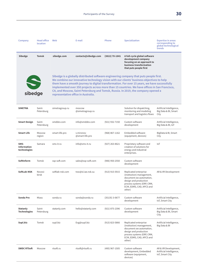| Company                                    | <b>Head office</b><br>location | Web                                 | E-mail                       | Phone              | <b>Specialization</b>                                                                                                                                                                                                                                                                                                                                                                                                                                                       | <b>Expertise in areas</b><br>corresponding to<br>global technological<br>trends |
|--------------------------------------------|--------------------------------|-------------------------------------|------------------------------|--------------------|-----------------------------------------------------------------------------------------------------------------------------------------------------------------------------------------------------------------------------------------------------------------------------------------------------------------------------------------------------------------------------------------------------------------------------------------------------------------------------|---------------------------------------------------------------------------------|
| Sibedge                                    | <b>Tomsk</b>                   | sibedge.com                         | contacts@sibedge.com         | $(3822)$ 70-1841   | A full-cycle global software<br>development company<br>focusing on an approach to<br>business transformation<br>that puts people first                                                                                                                                                                                                                                                                                                                                      |                                                                                 |
| Sibedge                                    |                                | representative office in Australia. |                              |                    | Sibedge is a globally distributed software engineering company that puts people first.<br>We combine our innovative technology vision with our clients' business objectives to help<br>them have a smooth journey to digital transformation. For over 15 years, we have successfully<br>implemented over 350 projects across more than 15 countries. We have offices in San Francisco,<br>CA, and Moscow, Saint Petersburg and Tomsk, Russia. In 2019, the company opened a |                                                                                 |
| <b>SIMETRA</b>                             | Saint-<br>Petersburg           | simetragroup.ru                     | moscow<br>@simetragroup.ru   |                    | Solution for dispatching,<br>monitoring and modeling<br>transport and logistics flows                                                                                                                                                                                                                                                                                                                                                                                       | Artificial Intelligence,<br>Big Data & BI, Smart<br>City                        |
| <b>Smart Design</b>                        | Saint-<br>Petersburg           | smddev.com                          | info@smddev.com              | (921) 932-7150     | Custom software<br>development                                                                                                                                                                                                                                                                                                                                                                                                                                              | Artificial Intelligence,<br>Big Data & BI, IoT                                  |
| <b>Smart Life</b>                          | Moscow<br>region               | smart-life.pro                      | v.mironov<br>@smart-life.pro | $(968) 867 - 1162$ | Embedded software<br>(equipment, devices)                                                                                                                                                                                                                                                                                                                                                                                                                                   | BigData & BI, Smart<br>City                                                     |
| SMS-<br><b>Information</b><br>technologies | Samara                         | sms-it.ru                           | info@sms-it.ru               | $(927)$ 263-8621   | Proprietary software and<br>creation of solutions for<br>energy and industrial<br>enterprises.                                                                                                                                                                                                                                                                                                                                                                              | IoT                                                                             |
| <b>SoftInform</b>                          | Tomsk                          | ssp-soft.com                        | sales@ssp-soft.com           | $(906)$ 950-2550   | Custom software<br>development                                                                                                                                                                                                                                                                                                                                                                                                                                              |                                                                                 |
| SoftLab-NSK                                | Novosi-<br>birsk               | softlab-nsk.com                     | trav@sl.iae.nsk.su           | $(913)$ 915-5915   | Replicated enterprise<br>(institution) management,<br>document ow automation,<br>design and production<br>process systems (ERP, CRM,<br>ECM, EDMS, CAD, APCS and<br>other)                                                                                                                                                                                                                                                                                                  | AR & VR Development                                                             |
| Sonda Pro                                  | Miass                          | sonda.ru                            | sonda@sonda.ru               | $(35135)$ 3-0677   | Custom software<br>development                                                                                                                                                                                                                                                                                                                                                                                                                                              | Artificial Intelligence,<br>IoT, Smart City                                     |
| <b>Statanly</b><br><b>Technologies</b>     | Saint-<br>Petersburg           | statanly.com                        | hello@statanly.com           | (921) 875-2396     | Custom software<br>development                                                                                                                                                                                                                                                                                                                                                                                                                                              | Artificial Intelligence,<br>Big Data & BI, Smart<br>City                        |
| Supl.biz                                   | Tomsk                          | supl.biz                            | Evg@supl.biz                 | $(913)$ 823-5866   | Replicated enterprise<br>(institution) management,<br>document ow automation,<br>design and production<br>process systems (ERP, CRM,<br>ECM, EDMS, CAD, APCS and<br>other)                                                                                                                                                                                                                                                                                                  | Artificial Intelligence,<br>Big Data & BI                                       |
| <b>SWDC RTSoft</b>                         | Moscow                         | rtsoft.ru                           | rtsoft@rtsoft.ru             | (495) 967-1505     | Custom software<br>development, Embedded<br>software (equipment,<br>devices)                                                                                                                                                                                                                                                                                                                                                                                                | AR & VR Development,<br>Artificial Intelligence,<br>IoT, Smart City             |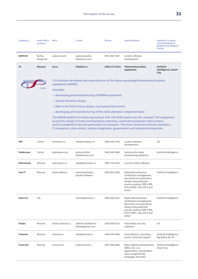| Company           | <b>Head office</b><br>location | Web                                     | E-mail                                                              | Phone          | <b>Specialization</b>                                                                                                                                                                                                                                                                                                                                                      | <b>Expertise in areas</b><br>corresponding to<br>global technological<br>trends |
|-------------------|--------------------------------|-----------------------------------------|---------------------------------------------------------------------|----------------|----------------------------------------------------------------------------------------------------------------------------------------------------------------------------------------------------------------------------------------------------------------------------------------------------------------------------------------------------------------------------|---------------------------------------------------------------------------------|
| <b>SWTECN</b>     | Nizhny<br>Novgorod             | swtecnn.com                             | valery.kalachev<br>@swtecnn.com                                     | (903) 060-7607 | Custom software<br>development                                                                                                                                                                                                                                                                                                                                             |                                                                                 |
| T <sub>8</sub>    | <b>Moscow</b>                  | t8.ru                                   | info@t8.ru                                                          | (499) 271-6161 | Telecommunication<br>equipment                                                                                                                                                                                                                                                                                                                                             | <b>Artificial</b><br><b>Intelligence, Smart</b><br>City                         |
|                   | <br><b>TB COMPANY</b>          | equipment (DWDM).<br><b>Activities:</b> |                                                                     |                | T8 is Russian developer and manufacturer of the dense wavelength telecommunications                                                                                                                                                                                                                                                                                        |                                                                                 |
|                   |                                |                                         | - developing and manufacturing of DWDM equipment                    |                |                                                                                                                                                                                                                                                                                                                                                                            |                                                                                 |
|                   |                                | - optical networks design               | – R&D in the field of laser physics and optical electronics         |                |                                                                                                                                                                                                                                                                                                                                                                            |                                                                                 |
|                   |                                |                                         | - developing and manufacturing of the radio-photonic component base |                |                                                                                                                                                                                                                                                                                                                                                                            |                                                                                 |
|                   |                                |                                         |                                                                     |                | The DWDM platform includes equipment with 100-600G speed over the channel. The equipment<br>is used for design of metro and backbone networks, connections between data-centers,<br>and it is adapted to the new generation 5G networks. The main clients are telecom operators,<br>IT companies, data centers, system integrators, government and industrial enterprises. |                                                                                 |
| <b>TAP</b>        | Tomsk                          | tomskasu.ru                             | info@tomskasu.ru                                                    | (999) 620-2759 | Custom software<br>development                                                                                                                                                                                                                                                                                                                                             | IoT                                                                             |
| <b>Telebreeze</b> | Tomsk                          | telebreeze.com                          | andrey.nikitin<br>@telebreeze.com                                   | (906) 948-3848 | Solutions for video<br>hroadcasting platforms.                                                                                                                                                                                                                                                                                                                             | Artificial Intelligence                                                         |

| <b>Telebreeze</b>  | Tomsk  | telebreeze.com     | andrey.nikitin<br>@telebreeze.com      | (906) 948-3848 | Solutions for video<br>broadcasting platforms                                                                                                                              | Artificial Intelligence                        |
|--------------------|--------|--------------------|----------------------------------------|----------------|----------------------------------------------------------------------------------------------------------------------------------------------------------------------------|------------------------------------------------|
| <b>Telecontact</b> | Moscow | telecontact.ru     | tele@telecontact.ru                    | (495) 744-5543 | <b>Contact Center Software</b>                                                                                                                                             |                                                |
| <b>Test IT</b>     | Moscow | testit.software    | artem.kostriukov<br>@testit.software   | (950) 863-7003 | Replicated enterprise<br>(institution) management,<br>document ow automation,<br>design and production<br>process systems (ERP, CRM,<br>ECM, EDMS, CAD, APCS and<br>other) | Artificial Intelligence                        |
| <b>Tezis LLC</b>   | Ufa    |                    | TezisSoft@mail.ru                      | (996) 404-4231 | Replicated enterprise<br>(institution) management,<br>document ow automation,<br>design and production<br>process systems (ERP, CRM,<br>ECM, EDMS, CAD, APCS and<br>other) | Artificial Intelligence                        |
| <b>Thales</b>      | Moscow | thales-sentinel.ru | mikhail.chukhlomin<br>@thalesgroup.com | (926) 996-4225 | Information security<br>solutions                                                                                                                                          | IoT                                            |
| <b>Transset</b>    | Moscow | transset.ru        | info@transset.ru                       | (499) 649-4668 | Own platform - providing<br>access, technical support                                                                                                                      | Artificial Intelligence,<br>Big Data & BI, IoT |
| <b>TrueConf</b>    | Moscow | trueconf.ru        | pr@trueconf.ru                         | (495) 698-6066 | Basic software development<br>(DBCS, OS, o ce<br>applications, virtualization<br>tools, programming<br>languages and tools)                                                | Artificial Intelligence,<br>Smart City         |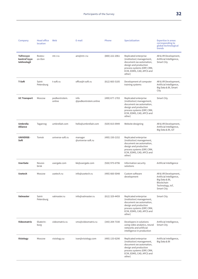| Company                                          | <b>Head office</b><br>location | Web                     | E-mail                       | Phone            | <b>Specialization</b>                                                                                                                                                      | <b>Expertise in areas</b><br>corresponding to<br>global technological<br>trends                                    |
|--------------------------------------------------|--------------------------------|-------------------------|------------------------------|------------------|----------------------------------------------------------------------------------------------------------------------------------------------------------------------------|--------------------------------------------------------------------------------------------------------------------|
| <b>Tsifrovyye</b><br>kontrol'nyye<br>tekhnologii | Rostov-<br>on-Don              | mt-r.ru                 | am@mt-r.ru                   | $(800)$ 222-2061 | Replicated enterprise<br>(institution) management,<br>document ow automation,<br>design and production<br>process systems (ERP, CRM,<br>ECM, EDMS, CAD, APCS and<br>other) | AR & VR Development,<br>Artificial Intelligence,<br>Smart City                                                     |
| T-Soft                                           | Saint-<br>Petersburg           | t-soft.ru               | office@t-soft.ru             | $(812)$ 665-5105 | Development of computer<br>training systems                                                                                                                                | AR & VR Development,<br>Artificial Intelligence,<br>Big Data & BI, Smart<br>City                                   |
| <b>UC Transport</b>                              | Moscow                         | podkontrolem.<br>online | info<br>@podkontrolem.online | (499) 677-1703   | Replicated enterprise<br>(institution) management,<br>document ow automation,<br>design and production<br>process systems (ERP, CRM,<br>ECM, EDMS, CAD, APCS and<br>other) | <b>Smart City</b>                                                                                                  |
| <b>Umbrella</b><br>Alliance                      | Taganrog                       | umbrellait.com          | hello@umbrellait.com         | (929) 815-0949   | Website designing                                                                                                                                                          | AR & VR Development,<br>Artificial Intelligence,<br>Big Data & BI, IoT                                             |
| <b>UNIVERSE-</b><br>Soft                         | Tomsk                          | universe-soft.ru        | manager<br>@universe-soft.ru | (495) 150-2152   | Replicated enterprise<br>(institution) management,<br>document ow automation,<br>design and production<br>process systems (ERP, CRM,<br>ECM, EDMS, CAD, APCS and<br>other) |                                                                                                                    |
| <b>UserGate</b>                                  | Novosi-<br>birsk               | usergate.com            | kk@usergate.com              | (926) 975-6796   | Information security<br>solutions                                                                                                                                          | Artificial Intelligence                                                                                            |
| <b>Usetech</b>                                   | Moscow                         | usetech.ru              | info@usetech.ru              | (495) 660-5048   | Custom software<br>development                                                                                                                                             | AR & VR Development,<br>Artificial Intelligence,<br>Big Data & BI,<br>Blockchain<br>Technology, IoT,<br>Smart City |
| Valmaster                                        | Saint-<br>Petersburg           | valmaster.ru            | info@valmaster.ru            | (812) 329-4459   | Replicated enterprise<br>(institution) management,<br>document ow automation,<br>design and production<br>process systems (ERP, CRM,<br>ECM, EDMS, CAD, APCS and<br>other) | Smart City                                                                                                         |
| Videomatrix                                      | Ekaterin-<br>burg              | videomatrix.ru          | vmx@videomatrix.ru           | $(343)$ 204-7330 | Developers in solutions<br>using video analytics, neural<br>networks and artificial<br>intelligence in production                                                          | Artificial Intelligence,<br>Smart City                                                                             |
| <b>Visiology</b>                                 | Moscow                         | visiology.su            | ivan@visiology.com           | (495) 133-6290   | Replicated enterprise<br>(institution) management,<br>document ow automation,<br>design and production<br>process systems (ERP, CRM,<br>ECM, EDMS, CAD, APCS and<br>other) | Artificial Intelligence,<br>Big Data & BI                                                                          |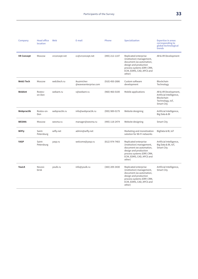| Company           | <b>Head office</b><br>location | Web           | E-mail                             | Phone            | <b>Specialization</b>                                                                                                                                                      | <b>Expertise in areas</b><br>corresponding to<br>global technological<br>trends                         |
|-------------------|--------------------------------|---------------|------------------------------------|------------------|----------------------------------------------------------------------------------------------------------------------------------------------------------------------------|---------------------------------------------------------------------------------------------------------|
| <b>VR Concept</b> | Moscow                         | vrconcept.net | cc@vrconcept.net                   | (495) 212-1147   | Replicated enterprise<br>(institution) management,<br>document ow automation,<br>design and production<br>process systems (ERP, CRM,<br>ECM, EDMS, CAD, APCS and<br>other) | AR & VR Development                                                                                     |
| Web3 Tech         | Moscow                         | web3tech.ru   | ikuzmichev<br>@wavesenterprise.com | $(910)$ 450-2686 | Custom software<br>development                                                                                                                                             | <b>Blockchain</b><br>Technology                                                                         |
| WebAnt            | Rostov-<br>on-Don              | webant.ru     | v@webant.ru                        | $(960)$ 466-0100 | Mobile applications                                                                                                                                                        | AR & VR Development,<br>Artificial Intelligence,<br><b>Blockchain</b><br>Technology, IoT,<br>Smart City |
| Webpractik        | Rostov-on-<br>Don              | webpractik.ru | info@webpractik.ru                 | (995) 989-0179   | Website designing                                                                                                                                                          | Artificial Intelligence,<br>Big Data & BI                                                               |
| <b>WESMA</b>      | Moscow                         | wesma.ru      | manager@wesma.ru                   | (495) 118-2474   | Website designing                                                                                                                                                          | <b>Smart City</b>                                                                                       |
| <b>WiFly</b>      | Saint-<br>Petersburg           | wifly.net     | admin@wifly.net                    |                  | Marketing and monetization<br>solution for Wi-Fi networks                                                                                                                  | BigData & BI, IoT                                                                                       |
| <b>YASP</b>       | Saint-<br>Petersburg           | yasp.ru       | welcome@yasp.ru                    | (812) 974-7403   | Replicated enterprise<br>(institution) management,<br>document ow automation,<br>design and production<br>process systems (ERP, CRM,<br>ECM, EDMS, CAD, APCS and<br>other) | Artificial Intelligence,<br>Big Data & BI, IoT,<br>Smart City                                           |
| <b>YouLK</b>      | Novosi-<br>birsk               | youlk.ru      | info@youlk.ru                      | (383) 209-3430   | Replicated enterprise<br>(institution) management,<br>document ow automation,<br>design and production<br>process systems (ERP, CRM,<br>ECM, EDMS, CAD, APCS and<br>other) | Artificial Intelligence,<br>Smart City                                                                  |